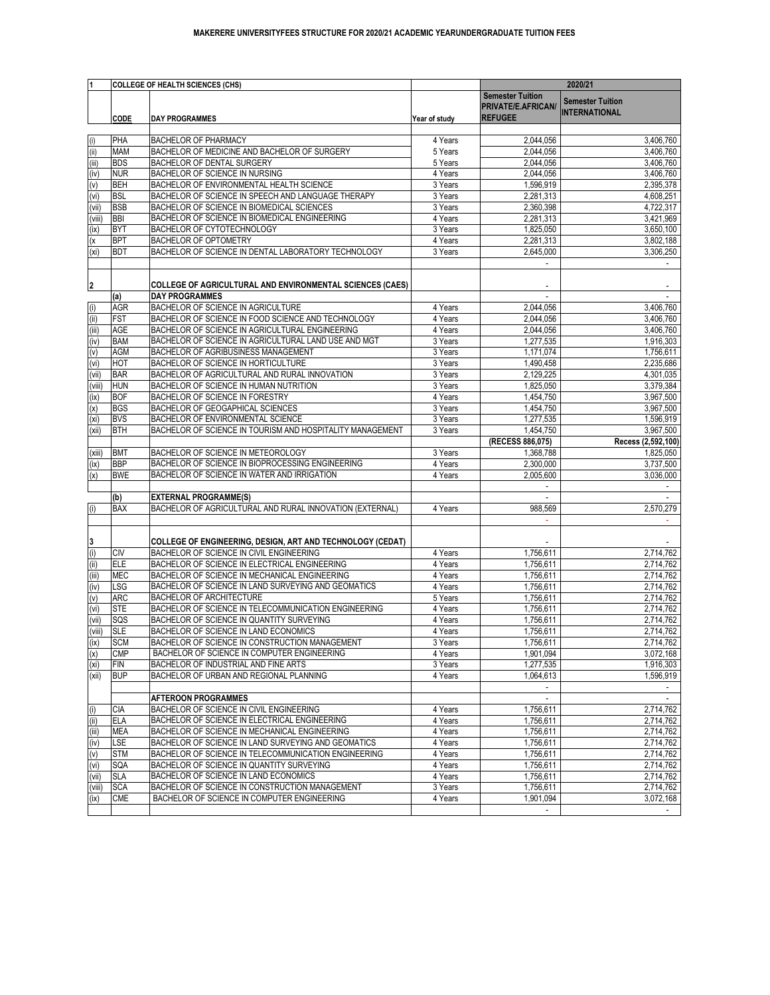|                            |                          | <b>COLLEGE OF HEALTH SCIENCES (CHS)</b>                                                               |                    | 2020/21                       |                                 |
|----------------------------|--------------------------|-------------------------------------------------------------------------------------------------------|--------------------|-------------------------------|---------------------------------|
|                            |                          |                                                                                                       |                    | <b>Semester Tuition</b>       |                                 |
|                            |                          |                                                                                                       |                    | <b>PRIVATE/E.AFRICAN</b>      | <b>Semester Tuition</b>         |
|                            | <b>CODE</b>              | <b>DAY PROGRAMMES</b>                                                                                 | Year of study      | <b>REFUGEE</b>                | <b>INTERNATIONAL</b>            |
|                            |                          |                                                                                                       |                    |                               |                                 |
| (i)                        | PHA                      | <b>BACHELOR OF PHARMACY</b>                                                                           | 4 Years            | 2,044,056                     | 3,406,760                       |
| (ii)                       | <b>MAM</b>               | BACHELOR OF MEDICINE AND BACHELOR OF SURGERY                                                          | 5 Years            | 2,044,056                     | 3,406,760                       |
| (iii)                      | <b>BDS</b>               | <b>BACHELOR OF DENTAL SURGERY</b>                                                                     | 5 Years            | 2,044,056                     | 3,406,760                       |
| (iv)                       | <b>NUR</b>               | <b>BACHELOR OF SCIENCE IN NURSING</b>                                                                 | 4 Years            | 2,044,056                     | 3,406,760                       |
| (v)                        | <b>BEH</b>               | BACHELOR OF ENVIRONMENTAL HEALTH SCIENCE                                                              | 3 Years            | 1,596,919                     | 2,395,378                       |
| (vi)                       | <b>BSL</b><br><b>BSB</b> | BACHELOR OF SCIENCE IN SPEECH AND LANGUAGE THERAPY<br>BACHELOR OF SCIENCE IN BIOMEDICAL SCIENCES      | 3 Years            | 2,281,313                     | 4,608,251                       |
| (vii)<br>(viii)            | <b>BBI</b>               | BACHELOR OF SCIENCE IN BIOMEDICAL ENGINEERING                                                         | 3 Years<br>4 Years | 2,360,398<br>2,281,313        | 4,722,317<br>3,421,969          |
| (ix)                       | <b>BYT</b>               | <b>BACHELOR OF CYTOTECHNOLOGY</b>                                                                     | 3 Years            | 1,825,050                     | 3,650,100                       |
| (x)                        | <b>BPT</b>               | <b>BACHELOR OF OPTOMETRY</b>                                                                          | 4 Years            | 2,281,313                     | 3,802,188                       |
| (x <sub>i</sub> )          | <b>BDT</b>               | BACHELOR OF SCIENCE IN DENTAL LABORATORY TECHNOLOGY                                                   | 3 Years            | 2,645,000                     | 3,306,250                       |
|                            |                          |                                                                                                       |                    |                               |                                 |
|                            |                          |                                                                                                       |                    |                               |                                 |
| $\overline{2}$             |                          | COLLEGE OF AGRICULTURAL AND ENVIRONMENTAL SCIENCES (CAES)                                             |                    |                               |                                 |
|                            | (a)                      | <b>DAY PROGRAMMES</b>                                                                                 |                    |                               |                                 |
| (i)                        | <b>AGR</b>               | <b>BACHELOR OF SCIENCE IN AGRICULTURE</b>                                                             | 4 Years            | 2,044,056                     | 3,406,760                       |
| (i)                        | <b>FST</b>               | BACHELOR OF SCIENCE IN FOOD SCIENCE AND TECHNOLOGY                                                    | 4 Years            | 2,044,056                     | 3,406,760                       |
| (iii)                      | <b>AGE</b>               | BACHELOR OF SCIENCE IN AGRICULTURAL ENGINEERING                                                       | 4 Years            | 2,044,056                     | 3,406,760                       |
| (iv)                       | <b>BAM</b>               | BACHELOR OF SCIENCE IN AGRICULTURAL LAND USE AND MGT                                                  | 3 Years            | 1,277,535                     | 1,916,303                       |
| (v)                        | <b>AGM</b>               | <b>BACHELOR OF AGRIBUSINESS MANAGEMENT</b>                                                            | 3 Years            | 1,171,074                     | 1,756,611                       |
| (vi)                       | <b>HOT</b>               | <b>BACHELOR OF SCIENCE IN HORTICULTURE</b>                                                            | 3 Years            | 1,490,458                     | 2,235,686                       |
| (vii)                      | <b>BAR</b>               | BACHELOR OF AGRICULTURAL AND RURAL INNOVATION                                                         | 3 Years            | 2,129,225                     | 4,301,035                       |
| (viii)                     | <b>HUN</b>               | <b>BACHELOR OF SCIENCE IN HUMAN NUTRITION</b>                                                         | 3 Years            | 1,825,050                     | 3,379,384                       |
| (ix)                       | <b>BOF</b>               | <b>BACHELOR OF SCIENCE IN FORESTRY</b>                                                                | 4 Years            | 1,454,750                     | 3,967,500                       |
| $\overline{(x)}$           | <b>BGS</b>               | <b>BACHELOR OF GEOGAPHICAL SCIENCES</b>                                                               | 3 Years            | 1,454,750                     | 3,967,500                       |
| (x <sub>i</sub> )<br>(xii) | <b>BVS</b><br><b>BTH</b> | <b>BACHELOR OF ENVIRONMENTAL SCIENCE</b><br>BACHELOR OF SCIENCE IN TOURISM AND HOSPITALITY MANAGEMENT | 3 Years            | 1,277,535                     | 1,596,919                       |
|                            |                          |                                                                                                       | 3 Years            | 1,454,750<br>(RECESS 886,075) | 3,967,500<br>Recess (2,592,100) |
| (xiii)                     | <b>BMT</b>               | <b>BACHELOR OF SCIENCE IN METEOROLOGY</b>                                                             | 3 Years            | 1,368,788                     | 1,825,050                       |
| (ix)                       | <b>BBP</b>               | BACHELOR OF SCIENCE IN BIOPROCESSING ENGINEERING                                                      | 4 Years            | 2,300,000                     | 3,737,500                       |
| (x)                        | <b>BWE</b>               | BACHELOR OF SCIENCE IN WATER AND IRRIGATION                                                           | 4 Years            | 2,005,600                     | 3,036,000                       |
|                            |                          |                                                                                                       |                    |                               |                                 |
|                            | (b)                      | <b>EXTERNAL PROGRAMME(S)</b>                                                                          |                    |                               |                                 |
| (i)                        | <b>BAX</b>               | BACHELOR OF AGRICULTURAL AND RURAL INNOVATION (EXTERNAL)                                              | 4 Years            | 988,569                       | 2,570,279                       |
|                            |                          |                                                                                                       |                    |                               |                                 |
|                            |                          |                                                                                                       |                    |                               |                                 |
| 3                          |                          | COLLEGE OF ENGINEERING, DESIGN, ART AND TECHNOLOGY (CEDAT)                                            |                    |                               |                                 |
| (i)                        | <b>CIV</b>               | <b>BACHELOR OF SCIENCE IN CIVIL ENGINEERING</b>                                                       | 4 Years            | 1,756,611                     | 2,714,762                       |
| (i)                        | <b>ELE</b>               | BACHELOR OF SCIENCE IN ELECTRICAL ENGINEERING                                                         | 4 Years            | 1,756,611                     | 2,714,762                       |
| (iii)                      | <b>MEC</b>               | BACHELOR OF SCIENCE IN MECHANICAL ENGINEERING                                                         | 4 Years            | 1,756,611                     | 2,714,762                       |
| (iv)                       | <b>LSG</b>               | BACHELOR OF SCIENCE IN LAND SURVEYING AND GEOMATICS                                                   | 4 Years            | 1,756,611                     | 2,714,762                       |
| (v)                        | <b>ARC</b><br><b>STE</b> | <b>BACHELOR OF ARCHITECTURE</b><br>BACHELOR OF SCIENCE IN TELECOMMUNICATION ENGINEERING               | 5 Years            | 1,756,611                     | 2,714,762                       |
| (vi)<br>(vii)              | SQS                      | BACHELOR OF SCIENCE IN QUANTITY SURVEYING                                                             | 4 Years<br>4 Years | 1,756,611<br>1,756,611        | 2,714,762<br>2,714,762          |
| (viii)                     | <b>SLE</b>               | <b>BACHELOR OF SCIENCE IN LAND ECONOMICS</b>                                                          | 4 Years            | 1,756,611                     | 2,714,762                       |
| (ix)                       | <b>SCM</b>               | BACHELOR OF SCIENCE IN CONSTRUCTION MANAGEMENT                                                        | 3 Years            | 1,756,611                     | 2,714,762                       |
| $\overline{(\mathsf{x})}$  | <b>CMP</b>               | BACHELOR OF SCIENCE IN COMPUTER ENGINEERING                                                           | 4 Years            | 1,901,094                     | 3,072,168                       |
| (x <sub>i</sub> )          | <b>FIN</b>               | BACHELOR OF INDUSTRIAL AND FINE ARTS                                                                  | 3 Years            | 1,277,535                     | 1,916,303                       |
| (xii)                      | <b>BUP</b>               | BACHELOR OF URBAN AND REGIONAL PLANNING                                                               | 4 Years            | 1,064,613                     | 1,596,919                       |
|                            |                          |                                                                                                       |                    |                               |                                 |
|                            |                          | <b>AFTEROON PROGRAMMES</b>                                                                            |                    |                               |                                 |
| (i)                        | <b>CIA</b>               | <b>BACHELOR OF SCIENCE IN CIVIL ENGINEERING</b>                                                       | 4 Years            | 1,756,611                     | 2,714,762                       |
| (iii)                      | <b>ELA</b>               | BACHELOR OF SCIENCE IN ELECTRICAL ENGINEERING                                                         | 4 Years            | 1,756,611                     | 2,714,762                       |
| (iii)                      | <b>MEA</b>               | BACHELOR OF SCIENCE IN MECHANICAL ENGINEERING                                                         | 4 Years            | 1,756,611                     | 2,714,762                       |
| (iv)                       | <b>LSE</b>               | BACHELOR OF SCIENCE IN LAND SURVEYING AND GEOMATICS                                                   | 4 Years            | 1,756,611                     | 2,714,762                       |
| (v)                        | <b>STM</b>               | BACHELOR OF SCIENCE IN TELECOMMUNICATION ENGINEERING                                                  | 4 Years            | 1,756,611                     | 2,714,762                       |
| (vi)                       | SQA                      | BACHELOR OF SCIENCE IN QUANTITY SURVEYING                                                             | 4 Years            | 1,756,611                     | 2,714,762                       |
| (vii)                      | <b>SLA</b>               | <b>BACHELOR OF SCIENCE IN LAND ECONOMICS</b>                                                          | 4 Years            | 1,756,611                     | 2,714,762                       |
| (viii)                     | <b>SCA</b>               | BACHELOR OF SCIENCE IN CONSTRUCTION MANAGEMENT                                                        | 3 Years            | 1,756,611                     | 2,714,762                       |
| (ix)                       | <b>CME</b>               | BACHELOR OF SCIENCE IN COMPUTER ENGINEERING                                                           | 4 Years            | 1,901,094                     | 3,072,168                       |
|                            |                          |                                                                                                       |                    | $\blacksquare$                |                                 |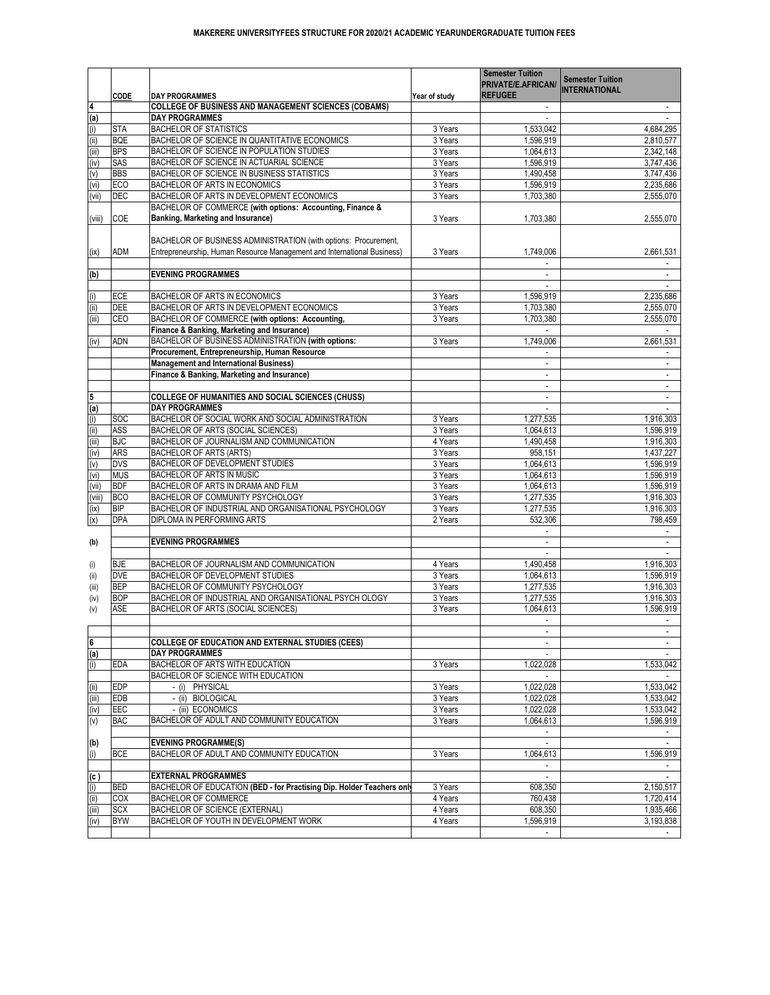|                | <b>CODE</b>              | <b>DAY PROGRAMMES</b>                                                                 | Year of study      | PRIVATE/E.AFRICAN/<br><b>REFUGEE</b> | <b>Semester Tuition</b><br><b>INTERNATIONAL</b> |
|----------------|--------------------------|---------------------------------------------------------------------------------------|--------------------|--------------------------------------|-------------------------------------------------|
|                |                          | COLLEGE OF BUSINESS AND MANAGEMENT SCIENCES (COBAMS)                                  |                    |                                      |                                                 |
| (a)            |                          | <b>DAY PROGRAMMES</b>                                                                 |                    |                                      |                                                 |
| (i)            | <b>STA</b>               | <b>BACHELOR OF STATISTICS</b>                                                         | 3 Years            | ,533,042                             | 4,684,295                                       |
| (i)            | <b>BQE</b>               | BACHELOR OF SCIENCE IN QUANTITATIVE ECONOMICS                                         | 3 Years            | ,596,919                             | 2,810,577                                       |
| (iii)          | <b>BPS</b>               | BACHELOR OF SCIENCE IN POPULATION STUDIES                                             | 3 Years            | 1,064,613                            | 2,342,148                                       |
| (iv)           | <b>SAS</b>               | BACHELOR OF SCIENCE IN ACTUARIAL SCIENCE                                              | 3 Years            | ,596,919                             | 3,747,436                                       |
| (v)            | <b>BBS</b>               | BACHELOR OF SCIENCE IN BUSINESS STATISTICS                                            | 3 Years            | 1,490,458                            | 3,747,436                                       |
| (vi)           | ECO                      | <b>BACHELOR OF ARTS IN ECONOMICS</b>                                                  | 3 Years            | ,596,919                             | 2,235,686                                       |
| (vii)          | DEC                      | BACHELOR OF ARTS IN DEVELOPMENT ECONOMICS                                             | 3 Years            | 1,703,380                            | 2,555,070                                       |
|                |                          | BACHELOR OF COMMERCE (with options: Accounting, Finance &                             |                    |                                      |                                                 |
| (viii)         | <b>COE</b>               | <b>Banking, Marketing and Insurance)</b>                                              | 3 Years            | 1,703,380                            | 2,555,070                                       |
|                |                          | BACHELOR OF BUSINESS ADMINISTRATION (with options: Procurement,                       |                    |                                      |                                                 |
| (ix)           | <b>ADM</b>               | Entrepreneurship, Human Resource Management and International Business)               | 3 Years            | 1,749,006                            | 2,661,531                                       |
| (b)            |                          | <b>EVENING PROGRAMMES</b>                                                             |                    |                                      |                                                 |
| (i)            | <b>ECE</b>               | <b>BACHELOR OF ARTS IN ECONOMICS</b>                                                  | 3 Years            | ,596,919                             | 2,235,686                                       |
| (ii)           | <b>DEE</b>               | BACHELOR OF ARTS IN DEVELOPMENT ECONOMICS                                             | 3 Years            | 1,703,380                            | 2,555,070                                       |
| (iii)          | <b>CEO</b>               | BACHELOR OF COMMERCE (with options: Accounting,                                       | 3 Years            | 1,703,380                            | 2,555,070                                       |
|                |                          | <b>Finance &amp; Banking, Marketing and Insurance)</b>                                |                    |                                      |                                                 |
| (iv)           | <b>ADN</b>               | BACHELOR OF BUSINESS ADMINISTRATION (with options:                                    | 3 Years            | 1,749,006                            | 2,661,531                                       |
|                |                          | Procurement, Entrepreneurship, Human Resource                                         |                    |                                      |                                                 |
|                |                          | <b>Management and International Business)</b>                                         |                    |                                      |                                                 |
|                |                          | <b>Finance &amp; Banking, Marketing and Insurance)</b>                                |                    |                                      |                                                 |
|                |                          |                                                                                       |                    |                                      |                                                 |
|                |                          | <b>COLLEGE OF HUMANITIES AND SOCIAL SCIENCES (CHUSS)</b>                              |                    |                                      |                                                 |
|                |                          | <b>DAY PROGRAMMES</b>                                                                 |                    |                                      |                                                 |
| (a)            | <b>SOC</b>               | BACHELOR OF SOCIAL WORK AND SOCIAL ADMINISTRATION                                     | 3 Years            | ,277,535                             | 1,916,303                                       |
| (i)            | <b>ASS</b>               |                                                                                       | 3 Years            | 1,064,613                            |                                                 |
| (i)            |                          | BACHELOR OF ARTS (SOCIAL SCIENCES)<br>BACHELOR OF JOURNALISM AND COMMUNICATION        |                    |                                      | ,596,919                                        |
| (iii)          | <b>BJC</b>               |                                                                                       | 4 Years            | 1,490,458                            | 1,916,303                                       |
| (iv)           | <b>ARS</b>               | BACHELOR OF ARTS (ARTS)                                                               | 3 Years            | 958,151                              | 1,437,227                                       |
| (v)            | <b>DVS</b>               | <b>BACHELOR OF DEVELOPMENT STUDIES</b>                                                | 3 Years            | 1,064,613                            | ,596,919                                        |
| (vi)           | <b>MUS</b>               | BACHELOR OF ARTS IN MUSIC                                                             | 3 Years            | 1,064,613                            | ,596,919                                        |
| (vii)          | <b>BDF</b>               | BACHELOR OF ARTS IN DRAMA AND FILM                                                    | 3 Years            | 1,064,613                            | 1,596,919                                       |
| (viii)         | <b>BCO</b>               | <b>BACHELOR OF COMMUNITY PSYCHOLOGY</b>                                               | 3 Years            | 1,277,535                            | 1,916,303                                       |
| (ix)           | <b>BIP</b>               | BACHELOR OF INDUSTRIAL AND ORGANISATIONAL PSYCHOLOGY                                  | 3 Years            | 1,277,535                            | 1,916,303                                       |
| (x)            | <b>DPA</b>               | <b>DIPLOMA IN PERFORMING ARTS</b>                                                     | 2 Years            | 532,306                              | 798,459                                         |
| (b)            |                          | <b>EVENING PROGRAMMES</b>                                                             |                    |                                      |                                                 |
|                |                          |                                                                                       |                    |                                      |                                                 |
| (i)            | <b>BJE</b>               | BACHELOR OF JOURNALISM AND COMMUNICATION                                              | 4 Years            | 1,490,458                            | 1,916,303                                       |
| (i)            | <b>DVE</b>               | <b>BACHELOR OF DEVELOPMENT STUDIES</b>                                                | 3 Years            | 1,064,613                            | 1,596,919                                       |
| (iii)          | <b>BEP</b>               | BACHELOR OF COMMUNITY PSYCHOLOGY                                                      | 3 Years            | 1,277,535                            | 1,916,303                                       |
| (iv)           | <b>BOP</b>               | BACHELOR OF INDUSTRIAL AND ORGANISATIONAL PSYCH OLOGY                                 | 3 Years            | 1,277,535                            | 1,916,303                                       |
| (v)            | <b>ASE</b>               | BACHELOR OF ARTS (SOCIAL SCIENCES)                                                    | 3 Years            | 1,064,613                            | 1,596,919                                       |
|                |                          |                                                                                       |                    |                                      |                                                 |
|                |                          |                                                                                       |                    |                                      |                                                 |
| $6\phantom{a}$ |                          | <b>COLLEGE OF EDUCATION AND EXTERNAL STUDIES (CEES)</b>                               |                    |                                      |                                                 |
| (a)            |                          | <b>DAY PROGRAMMES</b>                                                                 |                    |                                      |                                                 |
| (i)            | <b>EDA</b>               | BACHELOR OF ARTS WITH EDUCATION                                                       | 3 Years            | 1,022,028                            | 1,533,042                                       |
|                |                          | BACHELOR OF SCIENCE WITH EDUCATION                                                    |                    |                                      |                                                 |
| (ii)           | <b>EDP</b>               | - (i) PHYSICAL                                                                        | 3 Years            | 1,022,028                            | 1,533,042                                       |
| (iii)          | <b>EDB</b>               | - (ii) BIOLOGICAL                                                                     | 3 Years            | 1,022,028                            | 1,533,042                                       |
| (iv)           | <b>EEC</b>               | - (iii) ECONOMICS                                                                     | 3 Years            | 1,022,028                            | 1,533,042                                       |
| (v)            | <b>BAC</b>               | BACHELOR OF ADULT AND COMMUNITY EDUCATION                                             | 3 Years            | 1,064,613                            | 1,596,919                                       |
| (b)            |                          | <b>EVENING PROGRAMME(S)</b>                                                           |                    |                                      |                                                 |
|                | <b>BCE</b>               | BACHELOR OF ADULT AND COMMUNITY EDUCATION                                             | 3 Years            | 1,064,613                            | 1,596,919                                       |
| (i)            |                          |                                                                                       |                    |                                      |                                                 |
|                |                          |                                                                                       |                    |                                      |                                                 |
| (c)            |                          | <b>EXTERNAL PROGRAMMES</b>                                                            |                    |                                      |                                                 |
| (i)            | <b>BED</b>               | <b>BACHELOR OF EDUCATION (BED - for Practising Dip. Holder Teachers only</b>          | 3 Years            | 608,350                              | 2,150,517                                       |
| (i)            | <b>COX</b>               | <b>BACHELOR OF COMMERCE</b>                                                           | 4 Years            | 760,438                              | 1,720,414                                       |
| (iii)<br>(iv)  | <b>SCX</b><br><b>BYW</b> | <b>BACHELOR OF SCIENCE (EXTERNAL)</b><br><b>BACHELOR OF YOUTH IN DEVELOPMENT WORK</b> | 4 Years<br>4 Years | 608,350<br>,596,919                  | 1,935,466<br>3,193,838                          |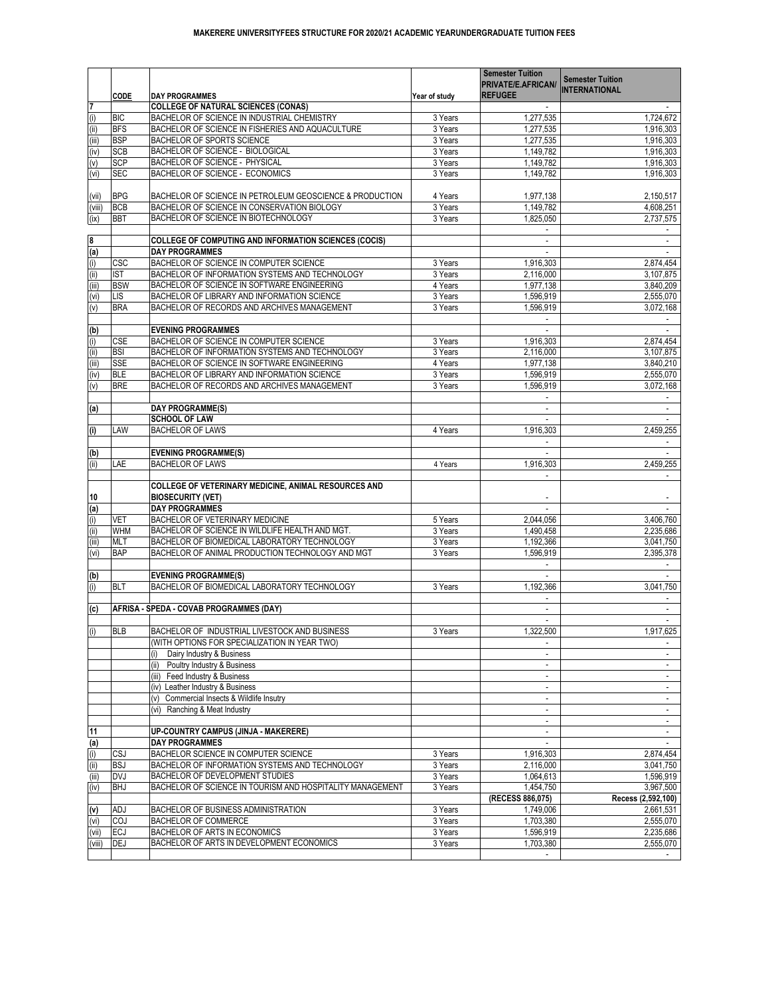| <b>INTERNATIONAL</b><br><b>REFUGEE</b><br><b>CODE</b><br><b>DAY PROGRAMMES</b><br>Year of study<br>$\overline{7}$<br><b>COLLEGE OF NATURAL SCIENCES (CONAS)</b><br>(i)<br><b>BIC</b><br><b>BACHELOR OF SCIENCE IN INDUSTRIAL CHEMISTRY</b><br>3 Years<br>1,277,535<br>1,724,672<br>(i)<br><b>BFS</b><br>BACHELOR OF SCIENCE IN FISHERIES AND AQUACULTURE<br>3 Years<br>1,916,303<br>1,277,535<br>(iii)<br><b>BSP</b><br><b>BACHELOR OF SPORTS SCIENCE</b><br>3 Years<br>1,916,303<br>1,277,535<br>(iv)<br><b>BACHELOR OF SCIENCE - BIOLOGICAL</b><br><b>SCB</b><br>1,916,303<br>1,149,782<br>3 Years<br><b>SCP</b><br>(v)<br><b>BACHELOR OF SCIENCE - PHYSICAL</b><br>1,916,303<br>1,149,782<br>3 Years<br>(vi)<br><b>BACHELOR OF SCIENCE - ECONOMICS</b><br><b>SEC</b><br>1,916,303<br>3 Years<br>1,149,782<br><b>BPG</b><br>BACHELOR OF SCIENCE IN PETROLEUM GEOSCIENCE & PRODUCTION<br>1,977,138<br>2,150,517<br>4 Years<br>(vii)<br><b>BCB</b><br>(viii)<br>BACHELOR OF SCIENCE IN CONSERVATION BIOLOGY<br>1,149,782<br>4,608,251<br>3 Years<br>(ix)<br><b>BBT</b><br>BACHELOR OF SCIENCE IN BIOTECHNOLOGY<br>3 Years<br>1,825,050<br>2,737,575<br>8<br><b>COLLEGE OF COMPUTING AND INFORMATION SCIENCES (COCIS)</b><br>$\frac{(\mathsf{a})}{(\mathsf{i})}$<br><b>DAY PROGRAMMES</b><br><b>CSC</b><br><b>BACHELOR OF SCIENCE IN COMPUTER SCIENCE</b><br>3 Years<br>1,916,303<br>2,874,454<br>(i)<br><b>IST</b><br>BACHELOR OF INFORMATION SYSTEMS AND TECHNOLOGY<br>3 Years<br>2,116,000<br>3,107,875<br>(iii)<br><b>BSW</b><br>BACHELOR OF SCIENCE IN SOFTWARE ENGINEERING<br>1,977,138<br>3,840,209<br>4 Years<br>(vi)<br>LIS<br><b>BACHELOR OF LIBRARY AND INFORMATION SCIENCE</b><br>1,596,919<br>3 Years<br>2,555,070<br>(v)<br><b>BACHELOR OF RECORDS AND ARCHIVES MANAGEMENT</b><br><b>BRA</b><br>3 Years<br>1,596,919<br>3,072,168<br>(b)<br><b>EVENING PROGRAMMES</b><br>(i)<br><b>CSE</b><br><b>BACHELOR OF SCIENCE IN COMPUTER SCIENCE</b><br>3 Years<br>1,916,303<br>2,874,454<br>(i)<br><b>BSI</b><br>BACHELOR OF INFORMATION SYSTEMS AND TECHNOLOGY<br>3,107,875<br>3 Years<br>2,116,000<br>(iii)<br><b>SSE</b><br>3,840,210<br>BACHELOR OF SCIENCE IN SOFTWARE ENGINEERING<br>4 Years<br>1,977,138<br>(iv)<br><b>BLE</b><br><b>BACHELOR OF LIBRARY AND INFORMATION SCIENCE</b><br>2,555,070<br>3 Years<br>1,596,919<br>(v)<br><b>BRE</b><br>BACHELOR OF RECORDS AND ARCHIVES MANAGEMENT<br>1,596,919<br>3 Years<br>3,072,168<br>(a)<br>DAY PROGRAMME(S)<br><b>SCHOOL OF LAW</b><br>(i)<br><b>BACHELOR OF LAWS</b><br>1,916,303<br>2,459,255<br><b>LAW</b><br>4 Years<br>(b)<br><b>EVENING PROGRAMME(S)</b><br>(ii)<br><b>LAE</b><br><b>BACHELOR OF LAWS</b><br>1,916,303<br>2,459,255<br>4 Years<br>COLLEGE OF VETERINARY MEDICINE, ANIMAL RESOURCES AND<br><b>BIOSECURITY (VET)</b><br>10<br>(a)<br><b>DAY PROGRAMMES</b><br>(i)<br><b>VET</b><br>BACHELOR OF VETERINARY MEDICINE<br>5 Years<br>3,406,760<br>2,044,056<br>(i)<br><b>WHM</b><br>BACHELOR OF SCIENCE IN WILDLIFE HEALTH AND MGT.<br>2,235,686<br>3 Years<br>1,490,458<br>(iii)<br>BACHELOR OF BIOMEDICAL LABORATORY TECHNOLOGY<br><b>MLT</b><br>1,192,366<br>3 Years<br>3,041,750<br>(vi)<br><b>BAP</b><br>BACHELOR OF ANIMAL PRODUCTION TECHNOLOGY AND MGT<br>2,395,378<br>1,596,919<br>3 Years<br>(b)<br><b>EVENING PROGRAMME(S)</b><br>(i)<br>BACHELOR OF BIOMEDICAL LABORATORY TECHNOLOGY<br><b>BLT</b><br>3 Years<br>1,192,366<br>3,041,750<br>(c)<br>AFRISA - SPEDA - COVAB PROGRAMMES (DAY)<br>(i)<br><b>BLB</b><br>BACHELOR OF INDUSTRIAL LIVESTOCK AND BUSINESS<br>3 Years<br>1,917,625<br>1,322,500<br>(WITH OPTIONS FOR SPECIALIZATION IN YEAR TWO)<br>Dairy Industry & Business<br>(i)<br>(ii)<br>Poultry Industry & Business<br>$\blacksquare$<br>(iii)<br>Feed Industry & Business<br>$\blacksquare$<br>$\sim$<br>Leather Industry & Business<br>(iv)<br>$\blacksquare$<br>Commercial Insects & Wildlife Insutry<br>(v)<br>$\blacksquare$<br>(vi)<br>Ranching & Meat Industry<br>$\blacksquare$<br>$\blacksquare$<br> 11<br><b>UP-COUNTRY CAMPUS (JINJA - MAKERERE)</b><br><b>DAY PROGRAMMES</b><br><u>(a)</u><br>(i)<br>CSJ<br>BACHELOR SCIENCE IN COMPUTER SCIENCE<br>1,916,303<br>3 Years<br>2,874,454<br>(i)<br><b>BSJ</b><br>BACHELOR OF INFORMATION SYSTEMS AND TECHNOLOGY<br>2,116,000<br>3,041,750<br>3 Years<br><b>DVJ</b><br>(iii)<br><b>BACHELOR OF DEVELOPMENT STUDIES</b><br>1,064,613<br>1,596,919<br>3 Years<br>(iv)<br><b>BHJ</b><br>BACHELOR OF SCIENCE IN TOURISM AND HOSPITALITY MANAGEMENT<br>3,967,500<br>3 Years<br>1,454,750<br>(RECESS 886,075)<br>Recess (2,592,100)<br><b>BACHELOR OF BUSINESS ADMINISTRATION</b><br>3 Years<br>(v)<br><b>ADJ</b><br>1,749,006<br>2,661,531<br>COJ<br>(vi)<br>1,703,380<br><b>BACHELOR OF COMMERCE</b><br>3 Years<br>2,555,070<br>(vii)<br><b>IECJ</b><br>BACHELOR OF ARTS IN ECONOMICS<br>1,596,919<br>2,235,686<br>3 Years<br>(viii)<br>DEJ<br>BACHELOR OF ARTS IN DEVELOPMENT ECONOMICS<br>1,703,380<br>2,555,070<br>3 Years |  |  | <b>Semester Tuition</b>   | <b>Semester Tuition</b> |
|-------------------------------------------------------------------------------------------------------------------------------------------------------------------------------------------------------------------------------------------------------------------------------------------------------------------------------------------------------------------------------------------------------------------------------------------------------------------------------------------------------------------------------------------------------------------------------------------------------------------------------------------------------------------------------------------------------------------------------------------------------------------------------------------------------------------------------------------------------------------------------------------------------------------------------------------------------------------------------------------------------------------------------------------------------------------------------------------------------------------------------------------------------------------------------------------------------------------------------------------------------------------------------------------------------------------------------------------------------------------------------------------------------------------------------------------------------------------------------------------------------------------------------------------------------------------------------------------------------------------------------------------------------------------------------------------------------------------------------------------------------------------------------------------------------------------------------------------------------------------------------------------------------------------------------------------------------------------------------------------------------------------------------------------------------------------------------------------------------------------------------------------------------------------------------------------------------------------------------------------------------------------------------------------------------------------------------------------------------------------------------------------------------------------------------------------------------------------------------------------------------------------------------------------------------------------------------------------------------------------------------------------------------------------------------------------------------------------------------------------------------------------------------------------------------------------------------------------------------------------------------------------------------------------------------------------------------------------------------------------------------------------------------------------------------------------------------------------------------------------------------------------------------------------------------------------------------------------------------------------------------------------------------------------------------------------------------------------------------------------------------------------------------------------------------------------------------------------------------------------------------------------------------------------------------------------------------------------------------------------------------------------------------------------------------------------------------------------------------------------------------------------------------------------------------------------------------------------------------------------------------------------------------------------------------------------------------------------------------------------------------------------------------------------------------------------------------------------------------------------------------------------------------------------------------------------------------------------------------------------------------------------------------------------------------------------------------------------------------------------------------------------------------------------------------------------------------------------------------------------------------------------------------------------------------------------------------------------------------------------------------------------------------------------------------------------------------------------------------------------------------------------------------------------------------------------------------------------------------------------------------------------------------------------------------------------------------------------------------------------|--|--|---------------------------|-------------------------|
|                                                                                                                                                                                                                                                                                                                                                                                                                                                                                                                                                                                                                                                                                                                                                                                                                                                                                                                                                                                                                                                                                                                                                                                                                                                                                                                                                                                                                                                                                                                                                                                                                                                                                                                                                                                                                                                                                                                                                                                                                                                                                                                                                                                                                                                                                                                                                                                                                                                                                                                                                                                                                                                                                                                                                                                                                                                                                                                                                                                                                                                                                                                                                                                                                                                                                                                                                                                                                                                                                                                                                                                                                                                                                                                                                                                                                                                                                                                                                                                                                                                                                                                                                                                                                                                                                                                                                                                                                                                                                                                                                                                                                                                                                                                                                                                                                                                                                                                                                                                           |  |  | <b>PRIVATE/E.AFRICAN/</b> |                         |
|                                                                                                                                                                                                                                                                                                                                                                                                                                                                                                                                                                                                                                                                                                                                                                                                                                                                                                                                                                                                                                                                                                                                                                                                                                                                                                                                                                                                                                                                                                                                                                                                                                                                                                                                                                                                                                                                                                                                                                                                                                                                                                                                                                                                                                                                                                                                                                                                                                                                                                                                                                                                                                                                                                                                                                                                                                                                                                                                                                                                                                                                                                                                                                                                                                                                                                                                                                                                                                                                                                                                                                                                                                                                                                                                                                                                                                                                                                                                                                                                                                                                                                                                                                                                                                                                                                                                                                                                                                                                                                                                                                                                                                                                                                                                                                                                                                                                                                                                                                                           |  |  |                           |                         |
|                                                                                                                                                                                                                                                                                                                                                                                                                                                                                                                                                                                                                                                                                                                                                                                                                                                                                                                                                                                                                                                                                                                                                                                                                                                                                                                                                                                                                                                                                                                                                                                                                                                                                                                                                                                                                                                                                                                                                                                                                                                                                                                                                                                                                                                                                                                                                                                                                                                                                                                                                                                                                                                                                                                                                                                                                                                                                                                                                                                                                                                                                                                                                                                                                                                                                                                                                                                                                                                                                                                                                                                                                                                                                                                                                                                                                                                                                                                                                                                                                                                                                                                                                                                                                                                                                                                                                                                                                                                                                                                                                                                                                                                                                                                                                                                                                                                                                                                                                                                           |  |  |                           |                         |
|                                                                                                                                                                                                                                                                                                                                                                                                                                                                                                                                                                                                                                                                                                                                                                                                                                                                                                                                                                                                                                                                                                                                                                                                                                                                                                                                                                                                                                                                                                                                                                                                                                                                                                                                                                                                                                                                                                                                                                                                                                                                                                                                                                                                                                                                                                                                                                                                                                                                                                                                                                                                                                                                                                                                                                                                                                                                                                                                                                                                                                                                                                                                                                                                                                                                                                                                                                                                                                                                                                                                                                                                                                                                                                                                                                                                                                                                                                                                                                                                                                                                                                                                                                                                                                                                                                                                                                                                                                                                                                                                                                                                                                                                                                                                                                                                                                                                                                                                                                                           |  |  |                           |                         |
|                                                                                                                                                                                                                                                                                                                                                                                                                                                                                                                                                                                                                                                                                                                                                                                                                                                                                                                                                                                                                                                                                                                                                                                                                                                                                                                                                                                                                                                                                                                                                                                                                                                                                                                                                                                                                                                                                                                                                                                                                                                                                                                                                                                                                                                                                                                                                                                                                                                                                                                                                                                                                                                                                                                                                                                                                                                                                                                                                                                                                                                                                                                                                                                                                                                                                                                                                                                                                                                                                                                                                                                                                                                                                                                                                                                                                                                                                                                                                                                                                                                                                                                                                                                                                                                                                                                                                                                                                                                                                                                                                                                                                                                                                                                                                                                                                                                                                                                                                                                           |  |  |                           |                         |
|                                                                                                                                                                                                                                                                                                                                                                                                                                                                                                                                                                                                                                                                                                                                                                                                                                                                                                                                                                                                                                                                                                                                                                                                                                                                                                                                                                                                                                                                                                                                                                                                                                                                                                                                                                                                                                                                                                                                                                                                                                                                                                                                                                                                                                                                                                                                                                                                                                                                                                                                                                                                                                                                                                                                                                                                                                                                                                                                                                                                                                                                                                                                                                                                                                                                                                                                                                                                                                                                                                                                                                                                                                                                                                                                                                                                                                                                                                                                                                                                                                                                                                                                                                                                                                                                                                                                                                                                                                                                                                                                                                                                                                                                                                                                                                                                                                                                                                                                                                                           |  |  |                           |                         |
|                                                                                                                                                                                                                                                                                                                                                                                                                                                                                                                                                                                                                                                                                                                                                                                                                                                                                                                                                                                                                                                                                                                                                                                                                                                                                                                                                                                                                                                                                                                                                                                                                                                                                                                                                                                                                                                                                                                                                                                                                                                                                                                                                                                                                                                                                                                                                                                                                                                                                                                                                                                                                                                                                                                                                                                                                                                                                                                                                                                                                                                                                                                                                                                                                                                                                                                                                                                                                                                                                                                                                                                                                                                                                                                                                                                                                                                                                                                                                                                                                                                                                                                                                                                                                                                                                                                                                                                                                                                                                                                                                                                                                                                                                                                                                                                                                                                                                                                                                                                           |  |  |                           |                         |
|                                                                                                                                                                                                                                                                                                                                                                                                                                                                                                                                                                                                                                                                                                                                                                                                                                                                                                                                                                                                                                                                                                                                                                                                                                                                                                                                                                                                                                                                                                                                                                                                                                                                                                                                                                                                                                                                                                                                                                                                                                                                                                                                                                                                                                                                                                                                                                                                                                                                                                                                                                                                                                                                                                                                                                                                                                                                                                                                                                                                                                                                                                                                                                                                                                                                                                                                                                                                                                                                                                                                                                                                                                                                                                                                                                                                                                                                                                                                                                                                                                                                                                                                                                                                                                                                                                                                                                                                                                                                                                                                                                                                                                                                                                                                                                                                                                                                                                                                                                                           |  |  |                           |                         |
|                                                                                                                                                                                                                                                                                                                                                                                                                                                                                                                                                                                                                                                                                                                                                                                                                                                                                                                                                                                                                                                                                                                                                                                                                                                                                                                                                                                                                                                                                                                                                                                                                                                                                                                                                                                                                                                                                                                                                                                                                                                                                                                                                                                                                                                                                                                                                                                                                                                                                                                                                                                                                                                                                                                                                                                                                                                                                                                                                                                                                                                                                                                                                                                                                                                                                                                                                                                                                                                                                                                                                                                                                                                                                                                                                                                                                                                                                                                                                                                                                                                                                                                                                                                                                                                                                                                                                                                                                                                                                                                                                                                                                                                                                                                                                                                                                                                                                                                                                                                           |  |  |                           |                         |
|                                                                                                                                                                                                                                                                                                                                                                                                                                                                                                                                                                                                                                                                                                                                                                                                                                                                                                                                                                                                                                                                                                                                                                                                                                                                                                                                                                                                                                                                                                                                                                                                                                                                                                                                                                                                                                                                                                                                                                                                                                                                                                                                                                                                                                                                                                                                                                                                                                                                                                                                                                                                                                                                                                                                                                                                                                                                                                                                                                                                                                                                                                                                                                                                                                                                                                                                                                                                                                                                                                                                                                                                                                                                                                                                                                                                                                                                                                                                                                                                                                                                                                                                                                                                                                                                                                                                                                                                                                                                                                                                                                                                                                                                                                                                                                                                                                                                                                                                                                                           |  |  |                           |                         |
|                                                                                                                                                                                                                                                                                                                                                                                                                                                                                                                                                                                                                                                                                                                                                                                                                                                                                                                                                                                                                                                                                                                                                                                                                                                                                                                                                                                                                                                                                                                                                                                                                                                                                                                                                                                                                                                                                                                                                                                                                                                                                                                                                                                                                                                                                                                                                                                                                                                                                                                                                                                                                                                                                                                                                                                                                                                                                                                                                                                                                                                                                                                                                                                                                                                                                                                                                                                                                                                                                                                                                                                                                                                                                                                                                                                                                                                                                                                                                                                                                                                                                                                                                                                                                                                                                                                                                                                                                                                                                                                                                                                                                                                                                                                                                                                                                                                                                                                                                                                           |  |  |                           |                         |
|                                                                                                                                                                                                                                                                                                                                                                                                                                                                                                                                                                                                                                                                                                                                                                                                                                                                                                                                                                                                                                                                                                                                                                                                                                                                                                                                                                                                                                                                                                                                                                                                                                                                                                                                                                                                                                                                                                                                                                                                                                                                                                                                                                                                                                                                                                                                                                                                                                                                                                                                                                                                                                                                                                                                                                                                                                                                                                                                                                                                                                                                                                                                                                                                                                                                                                                                                                                                                                                                                                                                                                                                                                                                                                                                                                                                                                                                                                                                                                                                                                                                                                                                                                                                                                                                                                                                                                                                                                                                                                                                                                                                                                                                                                                                                                                                                                                                                                                                                                                           |  |  |                           |                         |
|                                                                                                                                                                                                                                                                                                                                                                                                                                                                                                                                                                                                                                                                                                                                                                                                                                                                                                                                                                                                                                                                                                                                                                                                                                                                                                                                                                                                                                                                                                                                                                                                                                                                                                                                                                                                                                                                                                                                                                                                                                                                                                                                                                                                                                                                                                                                                                                                                                                                                                                                                                                                                                                                                                                                                                                                                                                                                                                                                                                                                                                                                                                                                                                                                                                                                                                                                                                                                                                                                                                                                                                                                                                                                                                                                                                                                                                                                                                                                                                                                                                                                                                                                                                                                                                                                                                                                                                                                                                                                                                                                                                                                                                                                                                                                                                                                                                                                                                                                                                           |  |  |                           |                         |
|                                                                                                                                                                                                                                                                                                                                                                                                                                                                                                                                                                                                                                                                                                                                                                                                                                                                                                                                                                                                                                                                                                                                                                                                                                                                                                                                                                                                                                                                                                                                                                                                                                                                                                                                                                                                                                                                                                                                                                                                                                                                                                                                                                                                                                                                                                                                                                                                                                                                                                                                                                                                                                                                                                                                                                                                                                                                                                                                                                                                                                                                                                                                                                                                                                                                                                                                                                                                                                                                                                                                                                                                                                                                                                                                                                                                                                                                                                                                                                                                                                                                                                                                                                                                                                                                                                                                                                                                                                                                                                                                                                                                                                                                                                                                                                                                                                                                                                                                                                                           |  |  |                           |                         |
|                                                                                                                                                                                                                                                                                                                                                                                                                                                                                                                                                                                                                                                                                                                                                                                                                                                                                                                                                                                                                                                                                                                                                                                                                                                                                                                                                                                                                                                                                                                                                                                                                                                                                                                                                                                                                                                                                                                                                                                                                                                                                                                                                                                                                                                                                                                                                                                                                                                                                                                                                                                                                                                                                                                                                                                                                                                                                                                                                                                                                                                                                                                                                                                                                                                                                                                                                                                                                                                                                                                                                                                                                                                                                                                                                                                                                                                                                                                                                                                                                                                                                                                                                                                                                                                                                                                                                                                                                                                                                                                                                                                                                                                                                                                                                                                                                                                                                                                                                                                           |  |  |                           |                         |
|                                                                                                                                                                                                                                                                                                                                                                                                                                                                                                                                                                                                                                                                                                                                                                                                                                                                                                                                                                                                                                                                                                                                                                                                                                                                                                                                                                                                                                                                                                                                                                                                                                                                                                                                                                                                                                                                                                                                                                                                                                                                                                                                                                                                                                                                                                                                                                                                                                                                                                                                                                                                                                                                                                                                                                                                                                                                                                                                                                                                                                                                                                                                                                                                                                                                                                                                                                                                                                                                                                                                                                                                                                                                                                                                                                                                                                                                                                                                                                                                                                                                                                                                                                                                                                                                                                                                                                                                                                                                                                                                                                                                                                                                                                                                                                                                                                                                                                                                                                                           |  |  |                           |                         |
|                                                                                                                                                                                                                                                                                                                                                                                                                                                                                                                                                                                                                                                                                                                                                                                                                                                                                                                                                                                                                                                                                                                                                                                                                                                                                                                                                                                                                                                                                                                                                                                                                                                                                                                                                                                                                                                                                                                                                                                                                                                                                                                                                                                                                                                                                                                                                                                                                                                                                                                                                                                                                                                                                                                                                                                                                                                                                                                                                                                                                                                                                                                                                                                                                                                                                                                                                                                                                                                                                                                                                                                                                                                                                                                                                                                                                                                                                                                                                                                                                                                                                                                                                                                                                                                                                                                                                                                                                                                                                                                                                                                                                                                                                                                                                                                                                                                                                                                                                                                           |  |  |                           |                         |
|                                                                                                                                                                                                                                                                                                                                                                                                                                                                                                                                                                                                                                                                                                                                                                                                                                                                                                                                                                                                                                                                                                                                                                                                                                                                                                                                                                                                                                                                                                                                                                                                                                                                                                                                                                                                                                                                                                                                                                                                                                                                                                                                                                                                                                                                                                                                                                                                                                                                                                                                                                                                                                                                                                                                                                                                                                                                                                                                                                                                                                                                                                                                                                                                                                                                                                                                                                                                                                                                                                                                                                                                                                                                                                                                                                                                                                                                                                                                                                                                                                                                                                                                                                                                                                                                                                                                                                                                                                                                                                                                                                                                                                                                                                                                                                                                                                                                                                                                                                                           |  |  |                           |                         |
|                                                                                                                                                                                                                                                                                                                                                                                                                                                                                                                                                                                                                                                                                                                                                                                                                                                                                                                                                                                                                                                                                                                                                                                                                                                                                                                                                                                                                                                                                                                                                                                                                                                                                                                                                                                                                                                                                                                                                                                                                                                                                                                                                                                                                                                                                                                                                                                                                                                                                                                                                                                                                                                                                                                                                                                                                                                                                                                                                                                                                                                                                                                                                                                                                                                                                                                                                                                                                                                                                                                                                                                                                                                                                                                                                                                                                                                                                                                                                                                                                                                                                                                                                                                                                                                                                                                                                                                                                                                                                                                                                                                                                                                                                                                                                                                                                                                                                                                                                                                           |  |  |                           |                         |
|                                                                                                                                                                                                                                                                                                                                                                                                                                                                                                                                                                                                                                                                                                                                                                                                                                                                                                                                                                                                                                                                                                                                                                                                                                                                                                                                                                                                                                                                                                                                                                                                                                                                                                                                                                                                                                                                                                                                                                                                                                                                                                                                                                                                                                                                                                                                                                                                                                                                                                                                                                                                                                                                                                                                                                                                                                                                                                                                                                                                                                                                                                                                                                                                                                                                                                                                                                                                                                                                                                                                                                                                                                                                                                                                                                                                                                                                                                                                                                                                                                                                                                                                                                                                                                                                                                                                                                                                                                                                                                                                                                                                                                                                                                                                                                                                                                                                                                                                                                                           |  |  |                           |                         |
|                                                                                                                                                                                                                                                                                                                                                                                                                                                                                                                                                                                                                                                                                                                                                                                                                                                                                                                                                                                                                                                                                                                                                                                                                                                                                                                                                                                                                                                                                                                                                                                                                                                                                                                                                                                                                                                                                                                                                                                                                                                                                                                                                                                                                                                                                                                                                                                                                                                                                                                                                                                                                                                                                                                                                                                                                                                                                                                                                                                                                                                                                                                                                                                                                                                                                                                                                                                                                                                                                                                                                                                                                                                                                                                                                                                                                                                                                                                                                                                                                                                                                                                                                                                                                                                                                                                                                                                                                                                                                                                                                                                                                                                                                                                                                                                                                                                                                                                                                                                           |  |  |                           |                         |
|                                                                                                                                                                                                                                                                                                                                                                                                                                                                                                                                                                                                                                                                                                                                                                                                                                                                                                                                                                                                                                                                                                                                                                                                                                                                                                                                                                                                                                                                                                                                                                                                                                                                                                                                                                                                                                                                                                                                                                                                                                                                                                                                                                                                                                                                                                                                                                                                                                                                                                                                                                                                                                                                                                                                                                                                                                                                                                                                                                                                                                                                                                                                                                                                                                                                                                                                                                                                                                                                                                                                                                                                                                                                                                                                                                                                                                                                                                                                                                                                                                                                                                                                                                                                                                                                                                                                                                                                                                                                                                                                                                                                                                                                                                                                                                                                                                                                                                                                                                                           |  |  |                           |                         |
|                                                                                                                                                                                                                                                                                                                                                                                                                                                                                                                                                                                                                                                                                                                                                                                                                                                                                                                                                                                                                                                                                                                                                                                                                                                                                                                                                                                                                                                                                                                                                                                                                                                                                                                                                                                                                                                                                                                                                                                                                                                                                                                                                                                                                                                                                                                                                                                                                                                                                                                                                                                                                                                                                                                                                                                                                                                                                                                                                                                                                                                                                                                                                                                                                                                                                                                                                                                                                                                                                                                                                                                                                                                                                                                                                                                                                                                                                                                                                                                                                                                                                                                                                                                                                                                                                                                                                                                                                                                                                                                                                                                                                                                                                                                                                                                                                                                                                                                                                                                           |  |  |                           |                         |
|                                                                                                                                                                                                                                                                                                                                                                                                                                                                                                                                                                                                                                                                                                                                                                                                                                                                                                                                                                                                                                                                                                                                                                                                                                                                                                                                                                                                                                                                                                                                                                                                                                                                                                                                                                                                                                                                                                                                                                                                                                                                                                                                                                                                                                                                                                                                                                                                                                                                                                                                                                                                                                                                                                                                                                                                                                                                                                                                                                                                                                                                                                                                                                                                                                                                                                                                                                                                                                                                                                                                                                                                                                                                                                                                                                                                                                                                                                                                                                                                                                                                                                                                                                                                                                                                                                                                                                                                                                                                                                                                                                                                                                                                                                                                                                                                                                                                                                                                                                                           |  |  |                           |                         |
|                                                                                                                                                                                                                                                                                                                                                                                                                                                                                                                                                                                                                                                                                                                                                                                                                                                                                                                                                                                                                                                                                                                                                                                                                                                                                                                                                                                                                                                                                                                                                                                                                                                                                                                                                                                                                                                                                                                                                                                                                                                                                                                                                                                                                                                                                                                                                                                                                                                                                                                                                                                                                                                                                                                                                                                                                                                                                                                                                                                                                                                                                                                                                                                                                                                                                                                                                                                                                                                                                                                                                                                                                                                                                                                                                                                                                                                                                                                                                                                                                                                                                                                                                                                                                                                                                                                                                                                                                                                                                                                                                                                                                                                                                                                                                                                                                                                                                                                                                                                           |  |  |                           |                         |
|                                                                                                                                                                                                                                                                                                                                                                                                                                                                                                                                                                                                                                                                                                                                                                                                                                                                                                                                                                                                                                                                                                                                                                                                                                                                                                                                                                                                                                                                                                                                                                                                                                                                                                                                                                                                                                                                                                                                                                                                                                                                                                                                                                                                                                                                                                                                                                                                                                                                                                                                                                                                                                                                                                                                                                                                                                                                                                                                                                                                                                                                                                                                                                                                                                                                                                                                                                                                                                                                                                                                                                                                                                                                                                                                                                                                                                                                                                                                                                                                                                                                                                                                                                                                                                                                                                                                                                                                                                                                                                                                                                                                                                                                                                                                                                                                                                                                                                                                                                                           |  |  |                           |                         |
|                                                                                                                                                                                                                                                                                                                                                                                                                                                                                                                                                                                                                                                                                                                                                                                                                                                                                                                                                                                                                                                                                                                                                                                                                                                                                                                                                                                                                                                                                                                                                                                                                                                                                                                                                                                                                                                                                                                                                                                                                                                                                                                                                                                                                                                                                                                                                                                                                                                                                                                                                                                                                                                                                                                                                                                                                                                                                                                                                                                                                                                                                                                                                                                                                                                                                                                                                                                                                                                                                                                                                                                                                                                                                                                                                                                                                                                                                                                                                                                                                                                                                                                                                                                                                                                                                                                                                                                                                                                                                                                                                                                                                                                                                                                                                                                                                                                                                                                                                                                           |  |  |                           |                         |
|                                                                                                                                                                                                                                                                                                                                                                                                                                                                                                                                                                                                                                                                                                                                                                                                                                                                                                                                                                                                                                                                                                                                                                                                                                                                                                                                                                                                                                                                                                                                                                                                                                                                                                                                                                                                                                                                                                                                                                                                                                                                                                                                                                                                                                                                                                                                                                                                                                                                                                                                                                                                                                                                                                                                                                                                                                                                                                                                                                                                                                                                                                                                                                                                                                                                                                                                                                                                                                                                                                                                                                                                                                                                                                                                                                                                                                                                                                                                                                                                                                                                                                                                                                                                                                                                                                                                                                                                                                                                                                                                                                                                                                                                                                                                                                                                                                                                                                                                                                                           |  |  |                           |                         |
|                                                                                                                                                                                                                                                                                                                                                                                                                                                                                                                                                                                                                                                                                                                                                                                                                                                                                                                                                                                                                                                                                                                                                                                                                                                                                                                                                                                                                                                                                                                                                                                                                                                                                                                                                                                                                                                                                                                                                                                                                                                                                                                                                                                                                                                                                                                                                                                                                                                                                                                                                                                                                                                                                                                                                                                                                                                                                                                                                                                                                                                                                                                                                                                                                                                                                                                                                                                                                                                                                                                                                                                                                                                                                                                                                                                                                                                                                                                                                                                                                                                                                                                                                                                                                                                                                                                                                                                                                                                                                                                                                                                                                                                                                                                                                                                                                                                                                                                                                                                           |  |  |                           |                         |
|                                                                                                                                                                                                                                                                                                                                                                                                                                                                                                                                                                                                                                                                                                                                                                                                                                                                                                                                                                                                                                                                                                                                                                                                                                                                                                                                                                                                                                                                                                                                                                                                                                                                                                                                                                                                                                                                                                                                                                                                                                                                                                                                                                                                                                                                                                                                                                                                                                                                                                                                                                                                                                                                                                                                                                                                                                                                                                                                                                                                                                                                                                                                                                                                                                                                                                                                                                                                                                                                                                                                                                                                                                                                                                                                                                                                                                                                                                                                                                                                                                                                                                                                                                                                                                                                                                                                                                                                                                                                                                                                                                                                                                                                                                                                                                                                                                                                                                                                                                                           |  |  |                           |                         |
|                                                                                                                                                                                                                                                                                                                                                                                                                                                                                                                                                                                                                                                                                                                                                                                                                                                                                                                                                                                                                                                                                                                                                                                                                                                                                                                                                                                                                                                                                                                                                                                                                                                                                                                                                                                                                                                                                                                                                                                                                                                                                                                                                                                                                                                                                                                                                                                                                                                                                                                                                                                                                                                                                                                                                                                                                                                                                                                                                                                                                                                                                                                                                                                                                                                                                                                                                                                                                                                                                                                                                                                                                                                                                                                                                                                                                                                                                                                                                                                                                                                                                                                                                                                                                                                                                                                                                                                                                                                                                                                                                                                                                                                                                                                                                                                                                                                                                                                                                                                           |  |  |                           |                         |
|                                                                                                                                                                                                                                                                                                                                                                                                                                                                                                                                                                                                                                                                                                                                                                                                                                                                                                                                                                                                                                                                                                                                                                                                                                                                                                                                                                                                                                                                                                                                                                                                                                                                                                                                                                                                                                                                                                                                                                                                                                                                                                                                                                                                                                                                                                                                                                                                                                                                                                                                                                                                                                                                                                                                                                                                                                                                                                                                                                                                                                                                                                                                                                                                                                                                                                                                                                                                                                                                                                                                                                                                                                                                                                                                                                                                                                                                                                                                                                                                                                                                                                                                                                                                                                                                                                                                                                                                                                                                                                                                                                                                                                                                                                                                                                                                                                                                                                                                                                                           |  |  |                           |                         |
|                                                                                                                                                                                                                                                                                                                                                                                                                                                                                                                                                                                                                                                                                                                                                                                                                                                                                                                                                                                                                                                                                                                                                                                                                                                                                                                                                                                                                                                                                                                                                                                                                                                                                                                                                                                                                                                                                                                                                                                                                                                                                                                                                                                                                                                                                                                                                                                                                                                                                                                                                                                                                                                                                                                                                                                                                                                                                                                                                                                                                                                                                                                                                                                                                                                                                                                                                                                                                                                                                                                                                                                                                                                                                                                                                                                                                                                                                                                                                                                                                                                                                                                                                                                                                                                                                                                                                                                                                                                                                                                                                                                                                                                                                                                                                                                                                                                                                                                                                                                           |  |  |                           |                         |
|                                                                                                                                                                                                                                                                                                                                                                                                                                                                                                                                                                                                                                                                                                                                                                                                                                                                                                                                                                                                                                                                                                                                                                                                                                                                                                                                                                                                                                                                                                                                                                                                                                                                                                                                                                                                                                                                                                                                                                                                                                                                                                                                                                                                                                                                                                                                                                                                                                                                                                                                                                                                                                                                                                                                                                                                                                                                                                                                                                                                                                                                                                                                                                                                                                                                                                                                                                                                                                                                                                                                                                                                                                                                                                                                                                                                                                                                                                                                                                                                                                                                                                                                                                                                                                                                                                                                                                                                                                                                                                                                                                                                                                                                                                                                                                                                                                                                                                                                                                                           |  |  |                           |                         |
|                                                                                                                                                                                                                                                                                                                                                                                                                                                                                                                                                                                                                                                                                                                                                                                                                                                                                                                                                                                                                                                                                                                                                                                                                                                                                                                                                                                                                                                                                                                                                                                                                                                                                                                                                                                                                                                                                                                                                                                                                                                                                                                                                                                                                                                                                                                                                                                                                                                                                                                                                                                                                                                                                                                                                                                                                                                                                                                                                                                                                                                                                                                                                                                                                                                                                                                                                                                                                                                                                                                                                                                                                                                                                                                                                                                                                                                                                                                                                                                                                                                                                                                                                                                                                                                                                                                                                                                                                                                                                                                                                                                                                                                                                                                                                                                                                                                                                                                                                                                           |  |  |                           |                         |
|                                                                                                                                                                                                                                                                                                                                                                                                                                                                                                                                                                                                                                                                                                                                                                                                                                                                                                                                                                                                                                                                                                                                                                                                                                                                                                                                                                                                                                                                                                                                                                                                                                                                                                                                                                                                                                                                                                                                                                                                                                                                                                                                                                                                                                                                                                                                                                                                                                                                                                                                                                                                                                                                                                                                                                                                                                                                                                                                                                                                                                                                                                                                                                                                                                                                                                                                                                                                                                                                                                                                                                                                                                                                                                                                                                                                                                                                                                                                                                                                                                                                                                                                                                                                                                                                                                                                                                                                                                                                                                                                                                                                                                                                                                                                                                                                                                                                                                                                                                                           |  |  |                           |                         |
|                                                                                                                                                                                                                                                                                                                                                                                                                                                                                                                                                                                                                                                                                                                                                                                                                                                                                                                                                                                                                                                                                                                                                                                                                                                                                                                                                                                                                                                                                                                                                                                                                                                                                                                                                                                                                                                                                                                                                                                                                                                                                                                                                                                                                                                                                                                                                                                                                                                                                                                                                                                                                                                                                                                                                                                                                                                                                                                                                                                                                                                                                                                                                                                                                                                                                                                                                                                                                                                                                                                                                                                                                                                                                                                                                                                                                                                                                                                                                                                                                                                                                                                                                                                                                                                                                                                                                                                                                                                                                                                                                                                                                                                                                                                                                                                                                                                                                                                                                                                           |  |  |                           |                         |
|                                                                                                                                                                                                                                                                                                                                                                                                                                                                                                                                                                                                                                                                                                                                                                                                                                                                                                                                                                                                                                                                                                                                                                                                                                                                                                                                                                                                                                                                                                                                                                                                                                                                                                                                                                                                                                                                                                                                                                                                                                                                                                                                                                                                                                                                                                                                                                                                                                                                                                                                                                                                                                                                                                                                                                                                                                                                                                                                                                                                                                                                                                                                                                                                                                                                                                                                                                                                                                                                                                                                                                                                                                                                                                                                                                                                                                                                                                                                                                                                                                                                                                                                                                                                                                                                                                                                                                                                                                                                                                                                                                                                                                                                                                                                                                                                                                                                                                                                                                                           |  |  |                           |                         |
|                                                                                                                                                                                                                                                                                                                                                                                                                                                                                                                                                                                                                                                                                                                                                                                                                                                                                                                                                                                                                                                                                                                                                                                                                                                                                                                                                                                                                                                                                                                                                                                                                                                                                                                                                                                                                                                                                                                                                                                                                                                                                                                                                                                                                                                                                                                                                                                                                                                                                                                                                                                                                                                                                                                                                                                                                                                                                                                                                                                                                                                                                                                                                                                                                                                                                                                                                                                                                                                                                                                                                                                                                                                                                                                                                                                                                                                                                                                                                                                                                                                                                                                                                                                                                                                                                                                                                                                                                                                                                                                                                                                                                                                                                                                                                                                                                                                                                                                                                                                           |  |  |                           |                         |
|                                                                                                                                                                                                                                                                                                                                                                                                                                                                                                                                                                                                                                                                                                                                                                                                                                                                                                                                                                                                                                                                                                                                                                                                                                                                                                                                                                                                                                                                                                                                                                                                                                                                                                                                                                                                                                                                                                                                                                                                                                                                                                                                                                                                                                                                                                                                                                                                                                                                                                                                                                                                                                                                                                                                                                                                                                                                                                                                                                                                                                                                                                                                                                                                                                                                                                                                                                                                                                                                                                                                                                                                                                                                                                                                                                                                                                                                                                                                                                                                                                                                                                                                                                                                                                                                                                                                                                                                                                                                                                                                                                                                                                                                                                                                                                                                                                                                                                                                                                                           |  |  |                           |                         |
|                                                                                                                                                                                                                                                                                                                                                                                                                                                                                                                                                                                                                                                                                                                                                                                                                                                                                                                                                                                                                                                                                                                                                                                                                                                                                                                                                                                                                                                                                                                                                                                                                                                                                                                                                                                                                                                                                                                                                                                                                                                                                                                                                                                                                                                                                                                                                                                                                                                                                                                                                                                                                                                                                                                                                                                                                                                                                                                                                                                                                                                                                                                                                                                                                                                                                                                                                                                                                                                                                                                                                                                                                                                                                                                                                                                                                                                                                                                                                                                                                                                                                                                                                                                                                                                                                                                                                                                                                                                                                                                                                                                                                                                                                                                                                                                                                                                                                                                                                                                           |  |  |                           |                         |
|                                                                                                                                                                                                                                                                                                                                                                                                                                                                                                                                                                                                                                                                                                                                                                                                                                                                                                                                                                                                                                                                                                                                                                                                                                                                                                                                                                                                                                                                                                                                                                                                                                                                                                                                                                                                                                                                                                                                                                                                                                                                                                                                                                                                                                                                                                                                                                                                                                                                                                                                                                                                                                                                                                                                                                                                                                                                                                                                                                                                                                                                                                                                                                                                                                                                                                                                                                                                                                                                                                                                                                                                                                                                                                                                                                                                                                                                                                                                                                                                                                                                                                                                                                                                                                                                                                                                                                                                                                                                                                                                                                                                                                                                                                                                                                                                                                                                                                                                                                                           |  |  |                           |                         |
|                                                                                                                                                                                                                                                                                                                                                                                                                                                                                                                                                                                                                                                                                                                                                                                                                                                                                                                                                                                                                                                                                                                                                                                                                                                                                                                                                                                                                                                                                                                                                                                                                                                                                                                                                                                                                                                                                                                                                                                                                                                                                                                                                                                                                                                                                                                                                                                                                                                                                                                                                                                                                                                                                                                                                                                                                                                                                                                                                                                                                                                                                                                                                                                                                                                                                                                                                                                                                                                                                                                                                                                                                                                                                                                                                                                                                                                                                                                                                                                                                                                                                                                                                                                                                                                                                                                                                                                                                                                                                                                                                                                                                                                                                                                                                                                                                                                                                                                                                                                           |  |  |                           |                         |
|                                                                                                                                                                                                                                                                                                                                                                                                                                                                                                                                                                                                                                                                                                                                                                                                                                                                                                                                                                                                                                                                                                                                                                                                                                                                                                                                                                                                                                                                                                                                                                                                                                                                                                                                                                                                                                                                                                                                                                                                                                                                                                                                                                                                                                                                                                                                                                                                                                                                                                                                                                                                                                                                                                                                                                                                                                                                                                                                                                                                                                                                                                                                                                                                                                                                                                                                                                                                                                                                                                                                                                                                                                                                                                                                                                                                                                                                                                                                                                                                                                                                                                                                                                                                                                                                                                                                                                                                                                                                                                                                                                                                                                                                                                                                                                                                                                                                                                                                                                                           |  |  |                           |                         |
|                                                                                                                                                                                                                                                                                                                                                                                                                                                                                                                                                                                                                                                                                                                                                                                                                                                                                                                                                                                                                                                                                                                                                                                                                                                                                                                                                                                                                                                                                                                                                                                                                                                                                                                                                                                                                                                                                                                                                                                                                                                                                                                                                                                                                                                                                                                                                                                                                                                                                                                                                                                                                                                                                                                                                                                                                                                                                                                                                                                                                                                                                                                                                                                                                                                                                                                                                                                                                                                                                                                                                                                                                                                                                                                                                                                                                                                                                                                                                                                                                                                                                                                                                                                                                                                                                                                                                                                                                                                                                                                                                                                                                                                                                                                                                                                                                                                                                                                                                                                           |  |  |                           |                         |
|                                                                                                                                                                                                                                                                                                                                                                                                                                                                                                                                                                                                                                                                                                                                                                                                                                                                                                                                                                                                                                                                                                                                                                                                                                                                                                                                                                                                                                                                                                                                                                                                                                                                                                                                                                                                                                                                                                                                                                                                                                                                                                                                                                                                                                                                                                                                                                                                                                                                                                                                                                                                                                                                                                                                                                                                                                                                                                                                                                                                                                                                                                                                                                                                                                                                                                                                                                                                                                                                                                                                                                                                                                                                                                                                                                                                                                                                                                                                                                                                                                                                                                                                                                                                                                                                                                                                                                                                                                                                                                                                                                                                                                                                                                                                                                                                                                                                                                                                                                                           |  |  |                           |                         |
|                                                                                                                                                                                                                                                                                                                                                                                                                                                                                                                                                                                                                                                                                                                                                                                                                                                                                                                                                                                                                                                                                                                                                                                                                                                                                                                                                                                                                                                                                                                                                                                                                                                                                                                                                                                                                                                                                                                                                                                                                                                                                                                                                                                                                                                                                                                                                                                                                                                                                                                                                                                                                                                                                                                                                                                                                                                                                                                                                                                                                                                                                                                                                                                                                                                                                                                                                                                                                                                                                                                                                                                                                                                                                                                                                                                                                                                                                                                                                                                                                                                                                                                                                                                                                                                                                                                                                                                                                                                                                                                                                                                                                                                                                                                                                                                                                                                                                                                                                                                           |  |  |                           |                         |
|                                                                                                                                                                                                                                                                                                                                                                                                                                                                                                                                                                                                                                                                                                                                                                                                                                                                                                                                                                                                                                                                                                                                                                                                                                                                                                                                                                                                                                                                                                                                                                                                                                                                                                                                                                                                                                                                                                                                                                                                                                                                                                                                                                                                                                                                                                                                                                                                                                                                                                                                                                                                                                                                                                                                                                                                                                                                                                                                                                                                                                                                                                                                                                                                                                                                                                                                                                                                                                                                                                                                                                                                                                                                                                                                                                                                                                                                                                                                                                                                                                                                                                                                                                                                                                                                                                                                                                                                                                                                                                                                                                                                                                                                                                                                                                                                                                                                                                                                                                                           |  |  |                           |                         |
|                                                                                                                                                                                                                                                                                                                                                                                                                                                                                                                                                                                                                                                                                                                                                                                                                                                                                                                                                                                                                                                                                                                                                                                                                                                                                                                                                                                                                                                                                                                                                                                                                                                                                                                                                                                                                                                                                                                                                                                                                                                                                                                                                                                                                                                                                                                                                                                                                                                                                                                                                                                                                                                                                                                                                                                                                                                                                                                                                                                                                                                                                                                                                                                                                                                                                                                                                                                                                                                                                                                                                                                                                                                                                                                                                                                                                                                                                                                                                                                                                                                                                                                                                                                                                                                                                                                                                                                                                                                                                                                                                                                                                                                                                                                                                                                                                                                                                                                                                                                           |  |  |                           |                         |
|                                                                                                                                                                                                                                                                                                                                                                                                                                                                                                                                                                                                                                                                                                                                                                                                                                                                                                                                                                                                                                                                                                                                                                                                                                                                                                                                                                                                                                                                                                                                                                                                                                                                                                                                                                                                                                                                                                                                                                                                                                                                                                                                                                                                                                                                                                                                                                                                                                                                                                                                                                                                                                                                                                                                                                                                                                                                                                                                                                                                                                                                                                                                                                                                                                                                                                                                                                                                                                                                                                                                                                                                                                                                                                                                                                                                                                                                                                                                                                                                                                                                                                                                                                                                                                                                                                                                                                                                                                                                                                                                                                                                                                                                                                                                                                                                                                                                                                                                                                                           |  |  |                           |                         |
|                                                                                                                                                                                                                                                                                                                                                                                                                                                                                                                                                                                                                                                                                                                                                                                                                                                                                                                                                                                                                                                                                                                                                                                                                                                                                                                                                                                                                                                                                                                                                                                                                                                                                                                                                                                                                                                                                                                                                                                                                                                                                                                                                                                                                                                                                                                                                                                                                                                                                                                                                                                                                                                                                                                                                                                                                                                                                                                                                                                                                                                                                                                                                                                                                                                                                                                                                                                                                                                                                                                                                                                                                                                                                                                                                                                                                                                                                                                                                                                                                                                                                                                                                                                                                                                                                                                                                                                                                                                                                                                                                                                                                                                                                                                                                                                                                                                                                                                                                                                           |  |  |                           |                         |
|                                                                                                                                                                                                                                                                                                                                                                                                                                                                                                                                                                                                                                                                                                                                                                                                                                                                                                                                                                                                                                                                                                                                                                                                                                                                                                                                                                                                                                                                                                                                                                                                                                                                                                                                                                                                                                                                                                                                                                                                                                                                                                                                                                                                                                                                                                                                                                                                                                                                                                                                                                                                                                                                                                                                                                                                                                                                                                                                                                                                                                                                                                                                                                                                                                                                                                                                                                                                                                                                                                                                                                                                                                                                                                                                                                                                                                                                                                                                                                                                                                                                                                                                                                                                                                                                                                                                                                                                                                                                                                                                                                                                                                                                                                                                                                                                                                                                                                                                                                                           |  |  |                           |                         |
|                                                                                                                                                                                                                                                                                                                                                                                                                                                                                                                                                                                                                                                                                                                                                                                                                                                                                                                                                                                                                                                                                                                                                                                                                                                                                                                                                                                                                                                                                                                                                                                                                                                                                                                                                                                                                                                                                                                                                                                                                                                                                                                                                                                                                                                                                                                                                                                                                                                                                                                                                                                                                                                                                                                                                                                                                                                                                                                                                                                                                                                                                                                                                                                                                                                                                                                                                                                                                                                                                                                                                                                                                                                                                                                                                                                                                                                                                                                                                                                                                                                                                                                                                                                                                                                                                                                                                                                                                                                                                                                                                                                                                                                                                                                                                                                                                                                                                                                                                                                           |  |  |                           |                         |
|                                                                                                                                                                                                                                                                                                                                                                                                                                                                                                                                                                                                                                                                                                                                                                                                                                                                                                                                                                                                                                                                                                                                                                                                                                                                                                                                                                                                                                                                                                                                                                                                                                                                                                                                                                                                                                                                                                                                                                                                                                                                                                                                                                                                                                                                                                                                                                                                                                                                                                                                                                                                                                                                                                                                                                                                                                                                                                                                                                                                                                                                                                                                                                                                                                                                                                                                                                                                                                                                                                                                                                                                                                                                                                                                                                                                                                                                                                                                                                                                                                                                                                                                                                                                                                                                                                                                                                                                                                                                                                                                                                                                                                                                                                                                                                                                                                                                                                                                                                                           |  |  |                           |                         |
|                                                                                                                                                                                                                                                                                                                                                                                                                                                                                                                                                                                                                                                                                                                                                                                                                                                                                                                                                                                                                                                                                                                                                                                                                                                                                                                                                                                                                                                                                                                                                                                                                                                                                                                                                                                                                                                                                                                                                                                                                                                                                                                                                                                                                                                                                                                                                                                                                                                                                                                                                                                                                                                                                                                                                                                                                                                                                                                                                                                                                                                                                                                                                                                                                                                                                                                                                                                                                                                                                                                                                                                                                                                                                                                                                                                                                                                                                                                                                                                                                                                                                                                                                                                                                                                                                                                                                                                                                                                                                                                                                                                                                                                                                                                                                                                                                                                                                                                                                                                           |  |  |                           |                         |
|                                                                                                                                                                                                                                                                                                                                                                                                                                                                                                                                                                                                                                                                                                                                                                                                                                                                                                                                                                                                                                                                                                                                                                                                                                                                                                                                                                                                                                                                                                                                                                                                                                                                                                                                                                                                                                                                                                                                                                                                                                                                                                                                                                                                                                                                                                                                                                                                                                                                                                                                                                                                                                                                                                                                                                                                                                                                                                                                                                                                                                                                                                                                                                                                                                                                                                                                                                                                                                                                                                                                                                                                                                                                                                                                                                                                                                                                                                                                                                                                                                                                                                                                                                                                                                                                                                                                                                                                                                                                                                                                                                                                                                                                                                                                                                                                                                                                                                                                                                                           |  |  |                           |                         |
|                                                                                                                                                                                                                                                                                                                                                                                                                                                                                                                                                                                                                                                                                                                                                                                                                                                                                                                                                                                                                                                                                                                                                                                                                                                                                                                                                                                                                                                                                                                                                                                                                                                                                                                                                                                                                                                                                                                                                                                                                                                                                                                                                                                                                                                                                                                                                                                                                                                                                                                                                                                                                                                                                                                                                                                                                                                                                                                                                                                                                                                                                                                                                                                                                                                                                                                                                                                                                                                                                                                                                                                                                                                                                                                                                                                                                                                                                                                                                                                                                                                                                                                                                                                                                                                                                                                                                                                                                                                                                                                                                                                                                                                                                                                                                                                                                                                                                                                                                                                           |  |  |                           |                         |
|                                                                                                                                                                                                                                                                                                                                                                                                                                                                                                                                                                                                                                                                                                                                                                                                                                                                                                                                                                                                                                                                                                                                                                                                                                                                                                                                                                                                                                                                                                                                                                                                                                                                                                                                                                                                                                                                                                                                                                                                                                                                                                                                                                                                                                                                                                                                                                                                                                                                                                                                                                                                                                                                                                                                                                                                                                                                                                                                                                                                                                                                                                                                                                                                                                                                                                                                                                                                                                                                                                                                                                                                                                                                                                                                                                                                                                                                                                                                                                                                                                                                                                                                                                                                                                                                                                                                                                                                                                                                                                                                                                                                                                                                                                                                                                                                                                                                                                                                                                                           |  |  |                           |                         |
|                                                                                                                                                                                                                                                                                                                                                                                                                                                                                                                                                                                                                                                                                                                                                                                                                                                                                                                                                                                                                                                                                                                                                                                                                                                                                                                                                                                                                                                                                                                                                                                                                                                                                                                                                                                                                                                                                                                                                                                                                                                                                                                                                                                                                                                                                                                                                                                                                                                                                                                                                                                                                                                                                                                                                                                                                                                                                                                                                                                                                                                                                                                                                                                                                                                                                                                                                                                                                                                                                                                                                                                                                                                                                                                                                                                                                                                                                                                                                                                                                                                                                                                                                                                                                                                                                                                                                                                                                                                                                                                                                                                                                                                                                                                                                                                                                                                                                                                                                                                           |  |  |                           |                         |
|                                                                                                                                                                                                                                                                                                                                                                                                                                                                                                                                                                                                                                                                                                                                                                                                                                                                                                                                                                                                                                                                                                                                                                                                                                                                                                                                                                                                                                                                                                                                                                                                                                                                                                                                                                                                                                                                                                                                                                                                                                                                                                                                                                                                                                                                                                                                                                                                                                                                                                                                                                                                                                                                                                                                                                                                                                                                                                                                                                                                                                                                                                                                                                                                                                                                                                                                                                                                                                                                                                                                                                                                                                                                                                                                                                                                                                                                                                                                                                                                                                                                                                                                                                                                                                                                                                                                                                                                                                                                                                                                                                                                                                                                                                                                                                                                                                                                                                                                                                                           |  |  |                           |                         |
|                                                                                                                                                                                                                                                                                                                                                                                                                                                                                                                                                                                                                                                                                                                                                                                                                                                                                                                                                                                                                                                                                                                                                                                                                                                                                                                                                                                                                                                                                                                                                                                                                                                                                                                                                                                                                                                                                                                                                                                                                                                                                                                                                                                                                                                                                                                                                                                                                                                                                                                                                                                                                                                                                                                                                                                                                                                                                                                                                                                                                                                                                                                                                                                                                                                                                                                                                                                                                                                                                                                                                                                                                                                                                                                                                                                                                                                                                                                                                                                                                                                                                                                                                                                                                                                                                                                                                                                                                                                                                                                                                                                                                                                                                                                                                                                                                                                                                                                                                                                           |  |  |                           |                         |
|                                                                                                                                                                                                                                                                                                                                                                                                                                                                                                                                                                                                                                                                                                                                                                                                                                                                                                                                                                                                                                                                                                                                                                                                                                                                                                                                                                                                                                                                                                                                                                                                                                                                                                                                                                                                                                                                                                                                                                                                                                                                                                                                                                                                                                                                                                                                                                                                                                                                                                                                                                                                                                                                                                                                                                                                                                                                                                                                                                                                                                                                                                                                                                                                                                                                                                                                                                                                                                                                                                                                                                                                                                                                                                                                                                                                                                                                                                                                                                                                                                                                                                                                                                                                                                                                                                                                                                                                                                                                                                                                                                                                                                                                                                                                                                                                                                                                                                                                                                                           |  |  |                           |                         |
|                                                                                                                                                                                                                                                                                                                                                                                                                                                                                                                                                                                                                                                                                                                                                                                                                                                                                                                                                                                                                                                                                                                                                                                                                                                                                                                                                                                                                                                                                                                                                                                                                                                                                                                                                                                                                                                                                                                                                                                                                                                                                                                                                                                                                                                                                                                                                                                                                                                                                                                                                                                                                                                                                                                                                                                                                                                                                                                                                                                                                                                                                                                                                                                                                                                                                                                                                                                                                                                                                                                                                                                                                                                                                                                                                                                                                                                                                                                                                                                                                                                                                                                                                                                                                                                                                                                                                                                                                                                                                                                                                                                                                                                                                                                                                                                                                                                                                                                                                                                           |  |  |                           |                         |
|                                                                                                                                                                                                                                                                                                                                                                                                                                                                                                                                                                                                                                                                                                                                                                                                                                                                                                                                                                                                                                                                                                                                                                                                                                                                                                                                                                                                                                                                                                                                                                                                                                                                                                                                                                                                                                                                                                                                                                                                                                                                                                                                                                                                                                                                                                                                                                                                                                                                                                                                                                                                                                                                                                                                                                                                                                                                                                                                                                                                                                                                                                                                                                                                                                                                                                                                                                                                                                                                                                                                                                                                                                                                                                                                                                                                                                                                                                                                                                                                                                                                                                                                                                                                                                                                                                                                                                                                                                                                                                                                                                                                                                                                                                                                                                                                                                                                                                                                                                                           |  |  |                           |                         |
|                                                                                                                                                                                                                                                                                                                                                                                                                                                                                                                                                                                                                                                                                                                                                                                                                                                                                                                                                                                                                                                                                                                                                                                                                                                                                                                                                                                                                                                                                                                                                                                                                                                                                                                                                                                                                                                                                                                                                                                                                                                                                                                                                                                                                                                                                                                                                                                                                                                                                                                                                                                                                                                                                                                                                                                                                                                                                                                                                                                                                                                                                                                                                                                                                                                                                                                                                                                                                                                                                                                                                                                                                                                                                                                                                                                                                                                                                                                                                                                                                                                                                                                                                                                                                                                                                                                                                                                                                                                                                                                                                                                                                                                                                                                                                                                                                                                                                                                                                                                           |  |  |                           |                         |
|                                                                                                                                                                                                                                                                                                                                                                                                                                                                                                                                                                                                                                                                                                                                                                                                                                                                                                                                                                                                                                                                                                                                                                                                                                                                                                                                                                                                                                                                                                                                                                                                                                                                                                                                                                                                                                                                                                                                                                                                                                                                                                                                                                                                                                                                                                                                                                                                                                                                                                                                                                                                                                                                                                                                                                                                                                                                                                                                                                                                                                                                                                                                                                                                                                                                                                                                                                                                                                                                                                                                                                                                                                                                                                                                                                                                                                                                                                                                                                                                                                                                                                                                                                                                                                                                                                                                                                                                                                                                                                                                                                                                                                                                                                                                                                                                                                                                                                                                                                                           |  |  |                           |                         |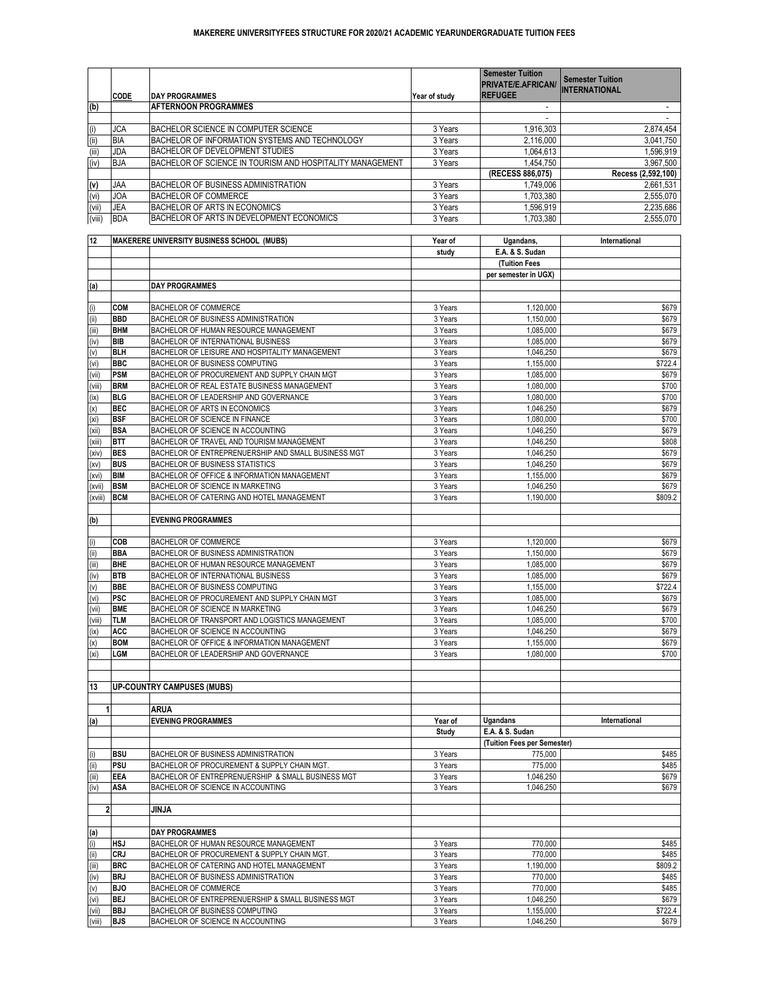|        |             |                                                           |               | <b>Semester Tuition</b><br>PRIVATE/E.AFRICAN/ | <b>Semester Tuition</b><br><b>INTERNATIONAL</b> |
|--------|-------------|-----------------------------------------------------------|---------------|-----------------------------------------------|-------------------------------------------------|
|        | <b>CODE</b> | <b>DAY PROGRAMMES</b>                                     | Year of study | <b>REFUGEE</b>                                |                                                 |
| (b)    |             | <b>AFTERNOON PROGRAMMES</b>                               |               |                                               |                                                 |
|        |             |                                                           |               |                                               |                                                 |
| (i)    | <b>JCA</b>  | BACHELOR SCIENCE IN COMPUTER SCIENCE                      | 3 Years       | 1,916,303                                     | 2,874,454                                       |
| (i)    | <b>BIA</b>  | BACHELOR OF INFORMATION SYSTEMS AND TECHNOLOGY            | 3 Years       | 2,116,000                                     | 3,041,750                                       |
| (iii)  | <b>JDA</b>  | BACHELOR OF DEVELOPMENT STUDIES                           | 3 Years       | 1,064,613                                     | 1,596,919                                       |
| (iv)   | <b>BJA</b>  | BACHELOR OF SCIENCE IN TOURISM AND HOSPITALITY MANAGEMENT | 3 Years       | 1,454,750                                     | 3,967,500                                       |
|        |             |                                                           |               | (RECESS 886,075)                              | Recess (2,592,100)                              |
| (v)    | <b>JAA</b>  | <b>BACHELOR OF BUSINESS ADMINISTRATION</b>                | 3 Years       | 1,749,006                                     | 2,661,531                                       |
| (vi)   | <b>JOA</b>  | <b>BACHELOR OF COMMERCE</b>                               | 3 Years       | 1,703,380                                     | 2,555,070                                       |
| (vii)  | <b>JEA</b>  | BACHELOR OF ARTS IN ECONOMICS                             | 3 Years       | 1,596,919                                     | 2,235,686                                       |
| (viii) | <b>BDA</b>  | BACHELOR OF ARTS IN DEVELOPMENT ECONOMICS                 | 3 Years       | 1,703,380                                     | 2,555,070                                       |

| 12                |            | <b>MAKERERE UNIVERSITY BUSINESS SCHOOL (MUBS)</b>      | Year of      | Ugandans,                   | International |
|-------------------|------------|--------------------------------------------------------|--------------|-----------------------------|---------------|
|                   |            |                                                        | study        | E.A. & S. Sudan             |               |
|                   |            |                                                        |              | <b>(Tuition Fees</b>        |               |
|                   |            |                                                        |              | per semester in UGX)        |               |
| (a)               |            | <b>DAY PROGRAMMES</b>                                  |              |                             |               |
|                   |            |                                                        |              |                             |               |
| (i)               | <b>COM</b> | <b>BACHELOR OF COMMERCE</b>                            | 3 Years      | 1,120,000                   | \$679         |
| (ii)              | <b>BBD</b> | <b>BACHELOR OF BUSINESS ADMINISTRATION</b>             | 3 Years      | 1,150,000                   | \$679         |
| (iii)             | <b>BHM</b> | BACHELOR OF HUMAN RESOURCE MANAGEMENT                  | 3 Years      | 1,085,000                   | \$679         |
| (iv)              | <b>BIB</b> | <b>BACHELOR OF INTERNATIONAL BUSINESS</b>              | 3 Years      | 1,085,000                   | \$679         |
| (v)               | <b>BLH</b> | BACHELOR OF LEISURE AND HOSPITALITY MANAGEMENT         | 3 Years      | 1,046,250                   | \$679         |
| (vi)              | <b>BBC</b> | <b>BACHELOR OF BUSINESS COMPUTING</b>                  | 3 Years      | 1,155,000                   | \$722.4       |
| (vii)             | <b>PSM</b> | BACHELOR OF PROCUREMENT AND SUPPLY CHAIN MGT           | 3 Years      | 1,085,000                   | \$679         |
| (viii)            | <b>BRM</b> | <b>BACHELOR OF REAL ESTATE BUSINESS MANAGEMENT</b>     | 3 Years      | 1,080,000                   | \$700         |
| (ix)              | <b>BLG</b> | BACHELOR OF LEADERSHIP AND GOVERNANCE                  | 3 Years      | 1,080,000                   | \$700         |
| (x)               | <b>BEC</b> | <b>BACHELOR OF ARTS IN ECONOMICS</b>                   | 3 Years      | 1,046,250                   | \$679         |
| (x <sub>i</sub> ) | <b>BSF</b> | <b>BACHELOR OF SCIENCE IN FINANCE</b>                  | 3 Years      | 1,080,000                   | \$700         |
| (xii)             | <b>BSA</b> | <b>BACHELOR OF SCIENCE IN ACCOUNTING</b>               | 3 Years      | 1,046,250                   | \$679         |
| (xiii)            | <b>BTT</b> | BACHELOR OF TRAVEL AND TOURISM MANAGEMENT              | 3 Years      | 1,046,250                   | \$808         |
| (xiv)             | <b>BES</b> | BACHELOR OF ENTREPRENUERSHIP AND SMALL BUSINESS MGT    | 3 Years      | 1,046,250                   | \$679         |
| (xv)              | <b>BUS</b> | BACHELOR OF BUSINESS STATISTICS                        | 3 Years      | 1,046,250                   | \$679         |
| (xvi)             | <b>BIM</b> | BACHELOR OF OFFICE & INFORMATION MANAGEMENT            | 3 Years      | 1,155,000                   | \$679         |
| (xvii)            | <b>BSM</b> | <b>BACHELOR OF SCIENCE IN MARKETING</b>                | 3 Years      | 1,046,250                   | \$679         |
| (xviii)           | <b>BCM</b> | BACHELOR OF CATERING AND HOTEL MANAGEMENT              | 3 Years      | 1,190,000                   | \$809.2       |
|                   |            |                                                        |              |                             |               |
| (b)               |            | <b>EVENING PROGRAMMES</b>                              |              |                             |               |
|                   |            |                                                        |              |                             |               |
| (i)               | <b>COB</b> | <b>BACHELOR OF COMMERCE</b>                            | 3 Years      | 1,120,000                   | \$679         |
| (ii)              | <b>BBA</b> | <b>BACHELOR OF BUSINESS ADMINISTRATION</b>             | 3 Years      | 1,150,000                   | \$679         |
| (iii)             | <b>BHE</b> | BACHELOR OF HUMAN RESOURCE MANAGEMENT                  | 3 Years      | 1,085,000                   | \$679         |
| (iv)              | <b>BTB</b> | <b>BACHELOR OF INTERNATIONAL BUSINESS</b>              | 3 Years      | 1,085,000                   | \$679         |
| (v)               | <b>BBE</b> | <b>BACHELOR OF BUSINESS COMPUTING</b>                  | 3 Years      | 1,155,000                   | \$722.4       |
| (vi)              | <b>PSC</b> | BACHELOR OF PROCUREMENT AND SUPPLY CHAIN MGT           | 3 Years      | 1,085,000                   | \$679         |
| (vii)             | <b>BME</b> | <b>BACHELOR OF SCIENCE IN MARKETING</b>                | 3 Years      | 1,046,250                   | \$679         |
| (viii)            | <b>TLM</b> | BACHELOR OF TRANSPORT AND LOGISTICS MANAGEMENT         | 3 Years      | 1,085,000                   | \$700         |
| (ix)              | <b>ACC</b> | <b>BACHELOR OF SCIENCE IN ACCOUNTING</b>               | 3 Years      | 1,046,250                   | \$679         |
| (x)               | <b>BOM</b> | <b>BACHELOR OF OFFICE &amp; INFORMATION MANAGEMENT</b> | 3 Years      | 1,155,000                   | \$679         |
| (xi)              | <b>LGM</b> | BACHELOR OF LEADERSHIP AND GOVERNANCE                  | 3 Years      | 1,080,000                   | \$700         |
|                   |            |                                                        |              |                             |               |
|                   |            |                                                        |              |                             |               |
| 13                |            | <b>UP-COUNTRY CAMPUSES (MUBS)</b>                      |              |                             |               |
|                   |            |                                                        |              |                             |               |
|                   |            | <b>ARUA</b>                                            |              |                             |               |
| (a)               |            | <b>EVENING PROGRAMMES</b>                              | Year of      | <b>Ugandans</b>             | International |
|                   |            |                                                        | <b>Study</b> | E.A. & S. Sudan             |               |
|                   |            |                                                        |              | (Tuition Fees per Semester) |               |
| (i)               | <b>BSU</b> | <b>BACHELOR OF BUSINESS ADMINISTRATION</b>             | 3 Years      | 775,000                     | \$485         |
| (i)               | PSU        | BACHELOR OF PROCUREMENT & SUPPLY CHAIN MGT.            | 3 Years      | 775,000                     | \$485         |
| (iii)             | <b>EEA</b> | BACHELOR OF ENTREPRENUERSHIP & SMALL BUSINESS MGT      | 3 Years      | 1,046,250                   | \$679         |
| (iv)              | <b>ASA</b> | BACHELOR OF SCIENCE IN ACCOUNTING                      | 3 Years      | 1,046,250                   | \$679         |
|                   |            |                                                        |              |                             |               |
| $\mathbf{2}$      |            | <b>JINJA</b>                                           |              |                             |               |
|                   |            |                                                        |              |                             |               |
| (a)               |            | <b>DAY PROGRAMMES</b>                                  |              |                             |               |
| (i)               | <b>HSJ</b> | <b>BACHELOR OF HUMAN RESOURCE MANAGEMENT</b>           | 3 Years      | 770,000                     | \$485         |
| (ii)              | <b>CRJ</b> | BACHELOR OF PROCUREMENT & SUPPLY CHAIN MGT.            | 3 Years      | 770,000                     | \$485         |
| (iii)             | <b>BRC</b> | BACHELOR OF CATERING AND HOTEL MANAGEMENT              | 3 Years      | 1,190,000                   | \$809.2       |
| (iv)              | <b>BRJ</b> | <b>BACHELOR OF BUSINESS ADMINISTRATION</b>             | 3 Years      | 770,000                     | \$485         |
| $\overline{(v)}$  | <b>BJO</b> | <b>BACHELOR OF COMMERCE</b>                            | 3 Years      | 770,000                     | \$485         |
| (vi)              | <b>BEJ</b> | BACHELOR OF ENTREPRENUERSHIP & SMALL BUSINESS MGT      | 3 Years      | 1,046,250                   | \$679         |
| (vii)             | <b>BBJ</b> | <b>BACHELOR OF BUSINESS COMPUTING</b>                  | 3 Years      | 1,155,000                   | \$722.4       |
| (viii)            | <b>BJS</b> | BACHELOR OF SCIENCE IN ACCOUNTING                      | 3 Years      | 1,046,250                   | \$679         |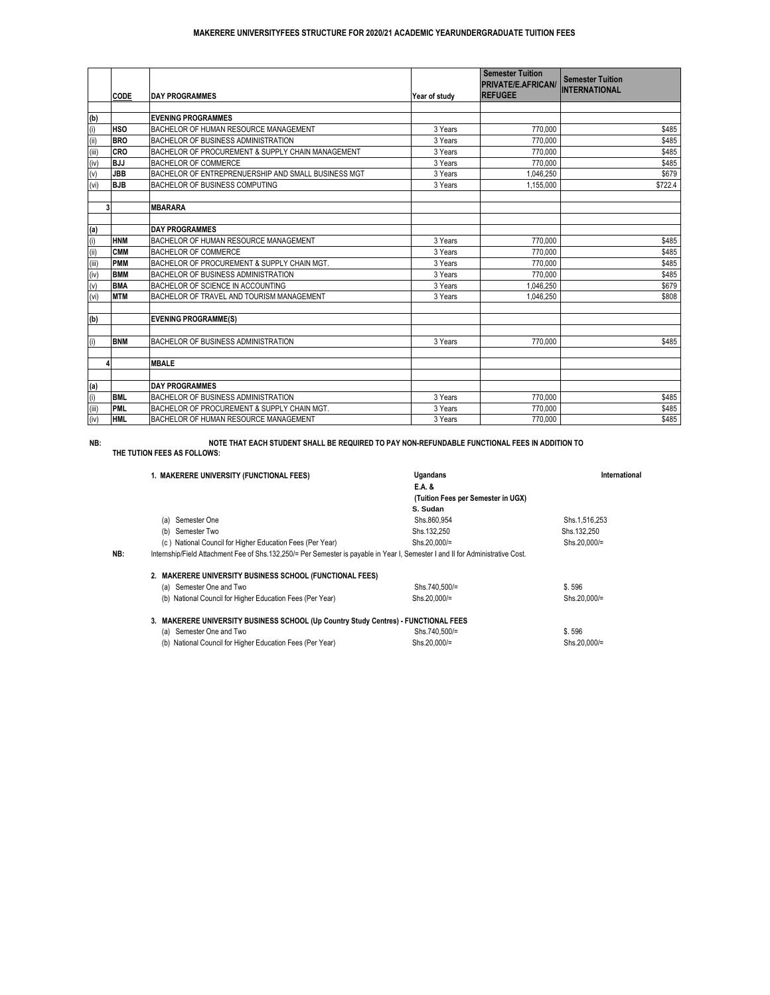|       |             |                                                     |               | <b>Semester Tuition</b>                     | <b>Semester Tuition</b> |
|-------|-------------|-----------------------------------------------------|---------------|---------------------------------------------|-------------------------|
|       |             |                                                     |               | <b>PRIVATE/E.AFRICAN/</b><br><b>REFUGEE</b> | <b>INTERNATIONAL</b>    |
|       | <b>CODE</b> | <b>DAY PROGRAMMES</b>                               | Year of study |                                             |                         |
| (b)   |             | <b>EVENING PROGRAMMES</b>                           |               |                                             |                         |
| (i)   | <b>HSO</b>  | <b>BACHELOR OF HUMAN RESOURCE MANAGEMENT</b>        | 3 Years       | 770,000                                     | \$485                   |
| (i)   | <b>BRO</b>  | <b>BACHELOR OF BUSINESS ADMINISTRATION</b>          | 3 Years       | 770,000                                     | \$485                   |
| (iii) | <b>CRO</b>  | BACHELOR OF PROCUREMENT & SUPPLY CHAIN MANAGEMENT   | 3 Years       | 770,000                                     | \$485                   |
| (iv)  | <b>BJJ</b>  | <b>BACHELOR OF COMMERCE</b>                         | 3 Years       | 770,000                                     | \$485                   |
| (v)   | <b>JBB</b>  | BACHELOR OF ENTREPRENUERSHIP AND SMALL BUSINESS MGT | 3 Years       | 1,046,250                                   | \$679                   |
| (vi)  | <b>BJB</b>  | <b>BACHELOR OF BUSINESS COMPUTING</b>               | 3 Years       | 1,155,000                                   | \$722.4                 |
|       |             |                                                     |               |                                             |                         |
| 3     |             | <b>MBARARA</b>                                      |               |                                             |                         |
|       |             |                                                     |               |                                             |                         |
| (a)   |             | <b>DAY PROGRAMMES</b>                               |               |                                             |                         |
| (i)   | <b>HNM</b>  | BACHELOR OF HUMAN RESOURCE MANAGEMENT               | 3 Years       | 770,000                                     | \$485                   |
| (iii) | <b>CMM</b>  | <b>BACHELOR OF COMMERCE</b>                         | 3 Years       | 770,000                                     | \$485                   |
| (iii) | PMM         | BACHELOR OF PROCUREMENT & SUPPLY CHAIN MGT.         | 3 Years       | 770,000                                     | \$485                   |
| (iv)  | <b>BMM</b>  | <b>BACHELOR OF BUSINESS ADMINISTRATION</b>          | 3 Years       | 770,000                                     | \$485                   |
| (v)   | <b>BMA</b>  | <b>BACHELOR OF SCIENCE IN ACCOUNTING</b>            | 3 Years       | 1,046,250                                   | \$679                   |
| (vi)  | <b>MTM</b>  | BACHELOR OF TRAVEL AND TOURISM MANAGEMENT           | 3 Years       | 1,046,250                                   | \$808                   |
|       |             |                                                     |               |                                             |                         |
| (b)   |             | <b>EVENING PROGRAMME(S)</b>                         |               |                                             |                         |
|       |             |                                                     |               |                                             |                         |
| (i)   | <b>BNM</b>  | <b>BACHELOR OF BUSINESS ADMINISTRATION</b>          | 3 Years       | 770,000                                     | \$485                   |
|       |             |                                                     |               |                                             |                         |
| Δ     |             | <b>MBALE</b>                                        |               |                                             |                         |
| (a)   |             | <b>DAY PROGRAMMES</b>                               |               |                                             |                         |
| (i)   | <b>BML</b>  | <b>BACHELOR OF BUSINESS ADMINISTRATION</b>          | 3 Years       | 770,000                                     | \$485                   |
| (iii) | <b>PML</b>  | BACHELOR OF PROCUREMENT & SUPPLY CHAIN MGT.         | 3 Years       | 770,000                                     | \$485                   |
| (iv)  | <b>HML</b>  | BACHELOR OF HUMAN RESOURCE MANAGEMENT               | 3 Years       | 770,000                                     | \$485                   |

#### **NB:**

**THE TUTION FEES AS FOLLOWS:**

|     | 1. MAKERERE UNIVERSITY (FUNCTIONAL FEES)                                                                                       | <b>Ugandans</b>                    | <b>International</b> |
|-----|--------------------------------------------------------------------------------------------------------------------------------|------------------------------------|----------------------|
|     |                                                                                                                                | E.A. &                             |                      |
|     |                                                                                                                                | (Tuition Fees per Semester in UGX) |                      |
|     |                                                                                                                                | S. Sudan                           |                      |
|     | Semester One<br>(a)                                                                                                            | Shs.860,954                        | Shs.1,516,253        |
|     | Semester Two<br>(b)                                                                                                            | Shs.132,250                        | Shs.132,250          |
|     | (c) National Council for Higher Education Fees (Per Year)                                                                      | Shs.20,000/=                       | Shs.20,000/=         |
| NB: | Internship/Field Attachment Fee of Shs.132,250/= Per Semester is payable in Year I, Semester I and II for Administrative Cost. |                                    |                      |
|     |                                                                                                                                |                                    |                      |
|     | 2. MAKERERE UNIVERSITY BUSINESS SCHOOL (FUNCTIONAL FEES)                                                                       |                                    |                      |
|     | (a) Semester One and Two                                                                                                       | Shs.740,500/=                      | \$.596               |
|     | (b) National Council for Higher Education Fees (Per Year)                                                                      | Shs.20,000/=                       | Shs.20,000/=         |
|     | 3. MAKERERE UNIVERSITY BUSINESS SCHOOL (Up Country Study Centres) - FUNCTIONAL FEES                                            |                                    |                      |
|     | (a) Semester One and Two                                                                                                       | Shs.740,500/=                      | \$.596               |
|     | (b) National Council for Higher Education Fees (Per Year)                                                                      | Shs.20,000/=                       | Shs.20,000/=         |

# **NOTE THAT EACH STUDENT SHALL BE REQUIRED TO PAY NON-REFUNDABLE FUNCTIONAL FEES IN ADDITION TO**